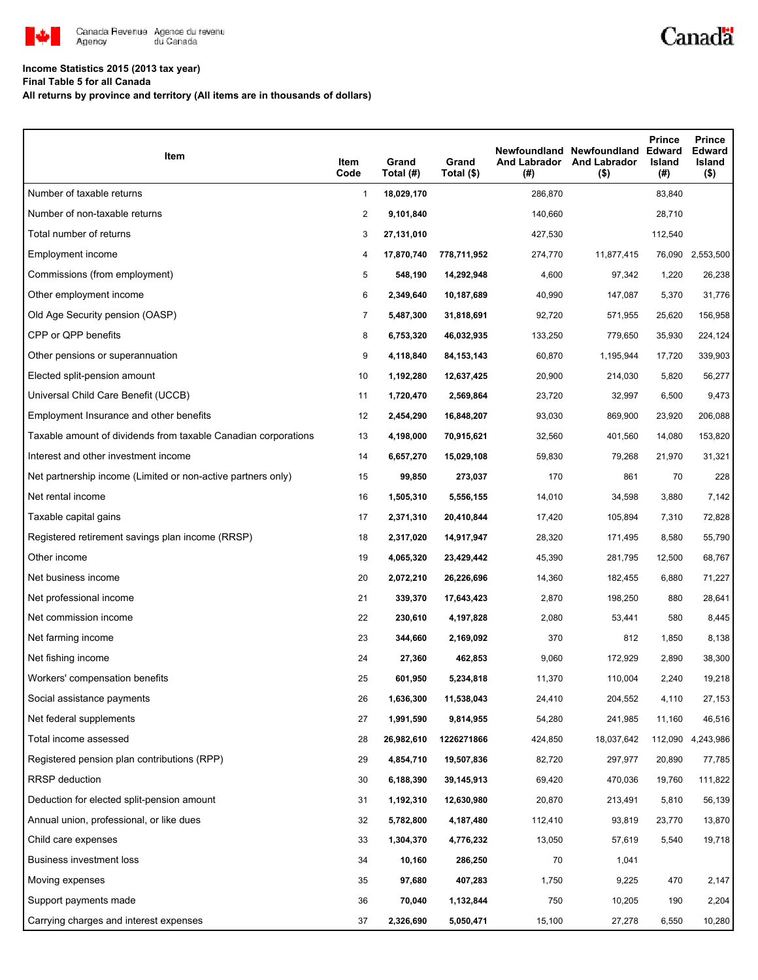

## **Income Statistics 2015 (2013 tax year)**

**Final Table 5 for all Canada**

**All returns by province and territory (All items are in thousands of dollars)**

| Item                                                           | Item<br>Code   | Grand<br>Total (#) | Grand<br>Total (\$) | <b>And Labrador</b><br>(#) | Newfoundland Newfoundland<br><b>And Labrador</b><br>$($ \$) | <b>Prince</b><br><b>Edward</b><br>Island<br>(#) | <b>Prince</b><br><b>Edward</b><br>Island<br>$($ \$) |
|----------------------------------------------------------------|----------------|--------------------|---------------------|----------------------------|-------------------------------------------------------------|-------------------------------------------------|-----------------------------------------------------|
| Number of taxable returns                                      | $\mathbf{1}$   | 18,029,170         |                     | 286,870                    |                                                             | 83,840                                          |                                                     |
| Number of non-taxable returns                                  | $\overline{c}$ | 9,101,840          |                     | 140,660                    |                                                             | 28,710                                          |                                                     |
| Total number of returns                                        | 3              | 27,131,010         |                     | 427,530                    |                                                             | 112,540                                         |                                                     |
| Employment income                                              | 4              | 17,870,740         | 778,711,952         | 274,770                    | 11,877,415                                                  | 76,090                                          | 2,553,500                                           |
| Commissions (from employment)                                  | 5              | 548,190            | 14,292,948          | 4,600                      | 97,342                                                      | 1,220                                           | 26,238                                              |
| Other employment income                                        | 6              | 2,349,640          | 10,187,689          | 40,990                     | 147,087                                                     | 5,370                                           | 31,776                                              |
| Old Age Security pension (OASP)                                | $\overline{7}$ | 5,487,300          | 31,818,691          | 92,720                     | 571,955                                                     | 25,620                                          | 156,958                                             |
| CPP or QPP benefits                                            | 8              | 6,753,320          | 46,032,935          | 133,250                    | 779,650                                                     | 35,930                                          | 224,124                                             |
| Other pensions or superannuation                               | 9              | 4,118,840          | 84, 153, 143        | 60,870                     | 1,195,944                                                   | 17,720                                          | 339,903                                             |
| Elected split-pension amount                                   | 10             | 1,192,280          | 12,637,425          | 20,900                     | 214,030                                                     | 5,820                                           | 56,277                                              |
| Universal Child Care Benefit (UCCB)                            | 11             | 1,720,470          | 2,569,864           | 23,720                     | 32,997                                                      | 6,500                                           | 9,473                                               |
| Employment Insurance and other benefits                        | 12             | 2,454,290          | 16,848,207          | 93,030                     | 869,900                                                     | 23,920                                          | 206,088                                             |
| Taxable amount of dividends from taxable Canadian corporations | 13             | 4,198,000          | 70,915,621          | 32,560                     | 401,560                                                     | 14,080                                          | 153,820                                             |
| Interest and other investment income                           | 14             | 6,657,270          | 15,029,108          | 59,830                     | 79,268                                                      | 21,970                                          | 31,321                                              |
| Net partnership income (Limited or non-active partners only)   | 15             | 99,850             | 273,037             | 170                        | 861                                                         | 70                                              | 228                                                 |
| Net rental income                                              | 16             | 1,505,310          | 5,556,155           | 14,010                     | 34,598                                                      | 3,880                                           | 7,142                                               |
| Taxable capital gains                                          | 17             | 2,371,310          | 20,410,844          | 17,420                     | 105,894                                                     | 7,310                                           | 72,828                                              |
| Registered retirement savings plan income (RRSP)               | 18             | 2,317,020          | 14,917,947          | 28,320                     | 171,495                                                     | 8,580                                           | 55,790                                              |
| Other income                                                   | 19             | 4,065,320          | 23,429,442          | 45,390                     | 281,795                                                     | 12,500                                          | 68,767                                              |
| Net business income                                            | 20             | 2,072,210          | 26,226,696          | 14,360                     | 182,455                                                     | 6,880                                           | 71,227                                              |
| Net professional income                                        | 21             | 339,370            | 17,643,423          | 2,870                      | 198,250                                                     | 880                                             | 28,641                                              |
| Net commission income                                          | 22             | 230,610            | 4,197,828           | 2,080                      | 53,441                                                      | 580                                             | 8,445                                               |
| Net farming income                                             | 23             | 344,660            | 2,169,092           | 370                        | 812                                                         | 1,850                                           | 8,138                                               |
| Net fishing income                                             | 24             | 27,360             | 462,853             | 9,060                      | 172,929                                                     | 2,890                                           | 38,300                                              |
| Workers' compensation benefits                                 | 25             | 601,950            | 5,234,818           | 11,370                     | 110,004                                                     | 2,240                                           | 19,218                                              |
| Social assistance payments                                     | 26             | 1,636,300          | 11,538,043          | 24,410                     | 204,552                                                     | 4,110                                           | 27,153                                              |
| Net federal supplements                                        | 27             | 1,991,590          | 9,814,955           | 54,280                     | 241,985                                                     | 11,160                                          | 46,516                                              |
| Total income assessed                                          | 28             | 26,982,610         | 1226271866          | 424,850                    | 18,037,642                                                  | 112,090                                         | 4,243,986                                           |
| Registered pension plan contributions (RPP)                    | 29             | 4,854,710          | 19,507,836          | 82,720                     | 297,977                                                     | 20,890                                          | 77,785                                              |
| RRSP deduction                                                 | 30             | 6,188,390          | 39,145,913          | 69,420                     | 470,036                                                     | 19,760                                          | 111,822                                             |
| Deduction for elected split-pension amount                     | 31             | 1,192,310          | 12,630,980          | 20,870                     | 213,491                                                     | 5,810                                           | 56,139                                              |
| Annual union, professional, or like dues                       | 32             | 5,782,800          | 4,187,480           | 112,410                    | 93,819                                                      | 23,770                                          | 13,870                                              |
| Child care expenses                                            | 33             | 1,304,370          | 4,776,232           | 13,050                     | 57,619                                                      | 5,540                                           | 19,718                                              |
| Business investment loss                                       | 34             | 10,160             | 286,250             | 70                         | 1,041                                                       |                                                 |                                                     |
| Moving expenses                                                | 35             | 97,680             | 407,283             | 1,750                      | 9,225                                                       | 470                                             | 2,147                                               |
| Support payments made                                          | 36             | 70,040             | 1,132,844           | 750                        | 10,205                                                      | 190                                             | 2,204                                               |
| Carrying charges and interest expenses                         | 37             | 2,326,690          | 5,050,471           | 15,100                     | 27,278                                                      | 6,550                                           | 10,280                                              |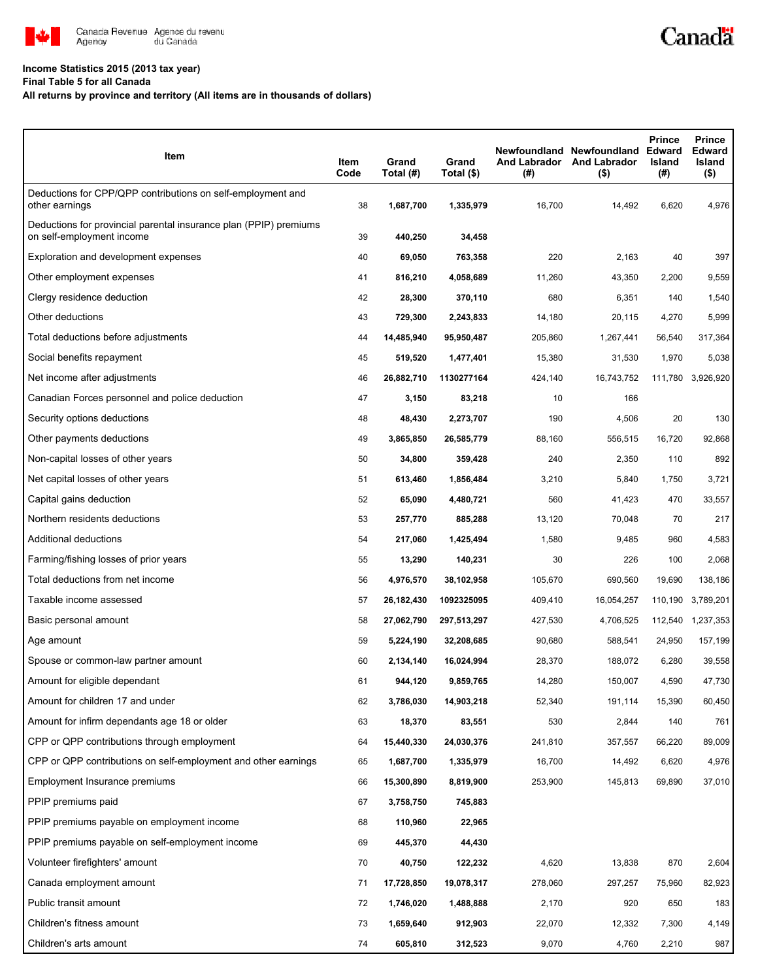

## **Income Statistics 2015 (2013 tax year)**

**Final Table 5 for all Canada**

## **All returns by province and territory (All items are in thousands of dollars)**

| Item                                                                                           | Item<br>Code | Grand<br>Total (#) | Grand<br>Total (\$) | (#)     | Newfoundland Newfoundland<br>And Labrador And Labrador<br>$($ \$) | <b>Prince</b><br><b>Edward</b><br>Island<br>(#) | <b>Prince</b><br><b>Edward</b><br>Island<br>$($ \$) |
|------------------------------------------------------------------------------------------------|--------------|--------------------|---------------------|---------|-------------------------------------------------------------------|-------------------------------------------------|-----------------------------------------------------|
| Deductions for CPP/QPP contributions on self-employment and<br>other earnings                  | 38           | 1,687,700          | 1,335,979           | 16,700  | 14,492                                                            | 6,620                                           | 4,976                                               |
| Deductions for provincial parental insurance plan (PPIP) premiums<br>on self-employment income | 39           | 440,250            | 34,458              |         |                                                                   |                                                 |                                                     |
| Exploration and development expenses                                                           | 40           | 69,050             | 763,358             | 220     | 2,163                                                             | 40                                              | 397                                                 |
| Other employment expenses                                                                      | 41           | 816,210            | 4,058,689           | 11,260  | 43,350                                                            | 2,200                                           | 9,559                                               |
| Clergy residence deduction                                                                     | 42           | 28,300             | 370,110             | 680     | 6,351                                                             | 140                                             | 1,540                                               |
| Other deductions                                                                               | 43           | 729,300            | 2,243,833           | 14,180  | 20,115                                                            | 4,270                                           | 5,999                                               |
| Total deductions before adjustments                                                            | 44           | 14,485,940         | 95,950,487          | 205,860 | 1,267,441                                                         | 56,540                                          | 317,364                                             |
| Social benefits repayment                                                                      | 45           | 519,520            | 1,477,401           | 15,380  | 31,530                                                            | 1,970                                           | 5,038                                               |
| Net income after adjustments                                                                   | 46           | 26,882,710         | 1130277164          | 424,140 | 16,743,752                                                        | 111,780                                         | 3,926,920                                           |
| Canadian Forces personnel and police deduction                                                 | 47           | 3,150              | 83,218              | 10      | 166                                                               |                                                 |                                                     |
| Security options deductions                                                                    | 48           | 48,430             | 2,273,707           | 190     | 4,506                                                             | 20                                              | 130                                                 |
| Other payments deductions                                                                      | 49           | 3,865,850          | 26,585,779          | 88,160  | 556,515                                                           | 16,720                                          | 92,868                                              |
| Non-capital losses of other years                                                              | 50           | 34,800             | 359,428             | 240     | 2,350                                                             | 110                                             | 892                                                 |
| Net capital losses of other years                                                              | 51           | 613,460            | 1,856,484           | 3,210   | 5,840                                                             | 1,750                                           | 3,721                                               |
| Capital gains deduction                                                                        | 52           | 65,090             | 4,480,721           | 560     | 41,423                                                            | 470                                             | 33,557                                              |
| Northern residents deductions                                                                  | 53           | 257,770            | 885,288             | 13,120  | 70,048                                                            | 70                                              | 217                                                 |
| Additional deductions                                                                          | 54           | 217,060            | 1,425,494           | 1,580   | 9,485                                                             | 960                                             | 4,583                                               |
| Farming/fishing losses of prior years                                                          | 55           | 13,290             | 140,231             | 30      | 226                                                               | 100                                             | 2,068                                               |
| Total deductions from net income                                                               | 56           | 4,976,570          | 38,102,958          | 105,670 | 690,560                                                           | 19,690                                          | 138,186                                             |
| Taxable income assessed                                                                        | 57           | 26,182,430         | 1092325095          | 409,410 | 16,054,257                                                        | 110,190                                         | 3,789,201                                           |
| Basic personal amount                                                                          | 58           | 27,062,790         | 297,513,297         | 427,530 | 4,706,525                                                         | 112,540                                         | 1,237,353                                           |
| Age amount                                                                                     | 59           | 5,224,190          | 32,208,685          | 90,680  | 588,541                                                           | 24,950                                          | 157,199                                             |
| Spouse or common-law partner amount                                                            | 60           | 2,134,140          | 16,024,994          | 28,370  | 188,072                                                           | 6,280                                           | 39,558                                              |
| Amount for eligible dependant                                                                  | 61           | 944,120            | 9,859,765           | 14,280  | 150,007                                                           | 4,590                                           | 47,730                                              |
| Amount for children 17 and under                                                               | 62           | 3,786,030          | 14,903,218          | 52,340  | 191,114                                                           | 15,390                                          | 60,450                                              |
| Amount for infirm dependants age 18 or older                                                   | 63           | 18,370             | 83,551              | 530     | 2,844                                                             | 140                                             | 761                                                 |
| CPP or QPP contributions through employment                                                    | 64           | 15,440,330         | 24,030,376          | 241,810 | 357,557                                                           | 66,220                                          | 89,009                                              |
| CPP or QPP contributions on self-employment and other earnings                                 | 65           | 1,687,700          | 1,335,979           | 16,700  | 14,492                                                            | 6,620                                           | 4,976                                               |
| Employment Insurance premiums                                                                  | 66           | 15,300,890         | 8,819,900           | 253,900 | 145,813                                                           | 69,890                                          | 37,010                                              |
| PPIP premiums paid                                                                             | 67           | 3,758,750          | 745,883             |         |                                                                   |                                                 |                                                     |
| PPIP premiums payable on employment income                                                     | 68           | 110,960            | 22,965              |         |                                                                   |                                                 |                                                     |
| PPIP premiums payable on self-employment income                                                | 69           | 445,370            | 44,430              |         |                                                                   |                                                 |                                                     |
| Volunteer firefighters' amount                                                                 | 70           | 40,750             | 122,232             | 4,620   | 13,838                                                            | 870                                             | 2,604                                               |
| Canada employment amount                                                                       | 71           | 17,728,850         | 19,078,317          | 278,060 | 297,257                                                           | 75,960                                          | 82,923                                              |
| Public transit amount                                                                          | 72           | 1,746,020          | 1,488,888           | 2,170   | 920                                                               | 650                                             | 183                                                 |
| Children's fitness amount                                                                      | 73           | 1,659,640          | 912,903             | 22,070  | 12,332                                                            | 7,300                                           | 4,149                                               |
| Children's arts amount                                                                         | 74           | 605,810            | 312,523             | 9,070   | 4,760                                                             | 2,210                                           | 987                                                 |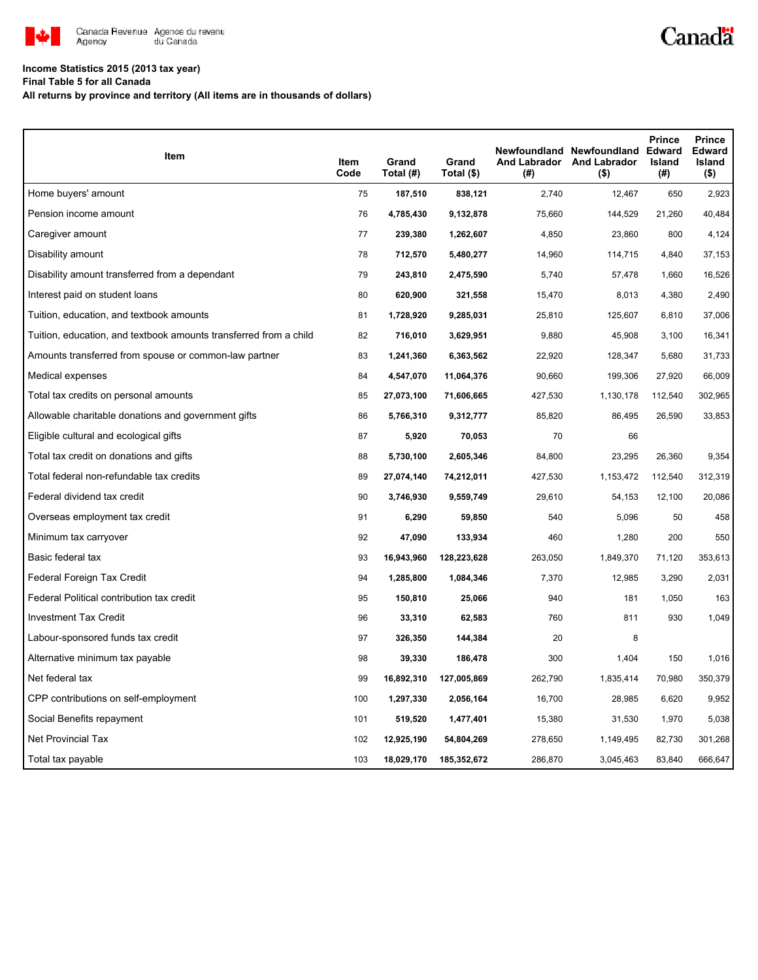

## **Income Statistics 2015 (2013 tax year)**

**Final Table 5 for all Canada**

**All returns by province and territory (All items are in thousands of dollars)**

| <b>Item</b>                                                       | Item<br>Code | Grand<br>Total (#) | Grand<br>Total (\$) | (#)     | Newfoundland Newfoundland Edward<br>And Labrador And Labrador<br>$($ \$) | <b>Prince</b><br><b>Island</b><br>(#) | <b>Prince</b><br><b>Edward</b><br>Island<br>(\$) |
|-------------------------------------------------------------------|--------------|--------------------|---------------------|---------|--------------------------------------------------------------------------|---------------------------------------|--------------------------------------------------|
| Home buyers' amount                                               | 75           | 187,510            | 838,121             | 2,740   | 12,467                                                                   | 650                                   | 2,923                                            |
| Pension income amount                                             | 76           | 4,785,430          | 9,132,878           | 75,660  | 144,529                                                                  | 21,260                                | 40,484                                           |
| Caregiver amount                                                  | 77           | 239,380            | 1,262,607           | 4,850   | 23,860                                                                   | 800                                   | 4,124                                            |
| Disability amount                                                 | 78           | 712,570            | 5,480,277           | 14,960  | 114,715                                                                  | 4,840                                 | 37,153                                           |
| Disability amount transferred from a dependant                    | 79           | 243,810            | 2,475,590           | 5,740   | 57,478                                                                   | 1,660                                 | 16,526                                           |
| Interest paid on student loans                                    | 80           | 620,900            | 321,558             | 15,470  | 8,013                                                                    | 4,380                                 | 2,490                                            |
| Tuition, education, and textbook amounts                          | 81           | 1,728,920          | 9,285,031           | 25,810  | 125,607                                                                  | 6,810                                 | 37,006                                           |
| Tuition, education, and textbook amounts transferred from a child | 82           | 716,010            | 3,629,951           | 9,880   | 45,908                                                                   | 3,100                                 | 16,341                                           |
| Amounts transferred from spouse or common-law partner             | 83           | 1,241,360          | 6,363,562           | 22,920  | 128,347                                                                  | 5,680                                 | 31,733                                           |
| Medical expenses                                                  | 84           | 4,547,070          | 11,064,376          | 90,660  | 199,306                                                                  | 27,920                                | 66,009                                           |
| Total tax credits on personal amounts                             | 85           | 27,073,100         | 71,606,665          | 427,530 | 1,130,178                                                                | 112,540                               | 302,965                                          |
| Allowable charitable donations and government gifts               | 86           | 5,766,310          | 9,312,777           | 85,820  | 86,495                                                                   | 26,590                                | 33,853                                           |
| Eligible cultural and ecological gifts                            | 87           | 5,920              | 70,053              | 70      | 66                                                                       |                                       |                                                  |
| Total tax credit on donations and gifts                           | 88           | 5,730,100          | 2,605,346           | 84,800  | 23,295                                                                   | 26,360                                | 9,354                                            |
| Total federal non-refundable tax credits                          | 89           | 27,074,140         | 74,212,011          | 427,530 | 1,153,472                                                                | 112,540                               | 312,319                                          |
| Federal dividend tax credit                                       | 90           | 3,746,930          | 9,559,749           | 29,610  | 54,153                                                                   | 12,100                                | 20,086                                           |
| Overseas employment tax credit                                    | 91           | 6,290              | 59,850              | 540     | 5,096                                                                    | 50                                    | 458                                              |
| Minimum tax carryover                                             | 92           | 47,090             | 133,934             | 460     | 1,280                                                                    | 200                                   | 550                                              |
| Basic federal tax                                                 | 93           | 16,943,960         | 128,223,628         | 263,050 | 1,849,370                                                                | 71,120                                | 353,613                                          |
| Federal Foreign Tax Credit                                        | 94           | 1,285,800          | 1,084,346           | 7,370   | 12,985                                                                   | 3,290                                 | 2,031                                            |
| Federal Political contribution tax credit                         | 95           | 150,810            | 25,066              | 940     | 181                                                                      | 1,050                                 | 163                                              |
| <b>Investment Tax Credit</b>                                      | 96           | 33,310             | 62,583              | 760     | 811                                                                      | 930                                   | 1,049                                            |
| Labour-sponsored funds tax credit                                 | 97           | 326,350            | 144,384             | 20      | 8                                                                        |                                       |                                                  |
| Alternative minimum tax payable                                   | 98           | 39,330             | 186,478             | 300     | 1,404                                                                    | 150                                   | 1.016                                            |
| Net federal tax                                                   | 99           | 16,892,310         | 127,005,869         | 262,790 | 1,835,414                                                                | 70,980                                | 350,379                                          |
| CPP contributions on self-employment                              | 100          | 1,297,330          | 2,056,164           | 16,700  | 28,985                                                                   | 6,620                                 | 9,952                                            |
| Social Benefits repayment                                         | 101          | 519,520            | 1,477,401           | 15,380  | 31,530                                                                   | 1,970                                 | 5,038                                            |
| <b>Net Provincial Tax</b>                                         | 102          | 12,925,190         | 54,804,269          | 278,650 | 1,149,495                                                                | 82,730                                | 301,268                                          |
| Total tax payable                                                 | 103          | 18,029,170         | 185,352,672         | 286,870 | 3,045,463                                                                | 83,840                                | 666,647                                          |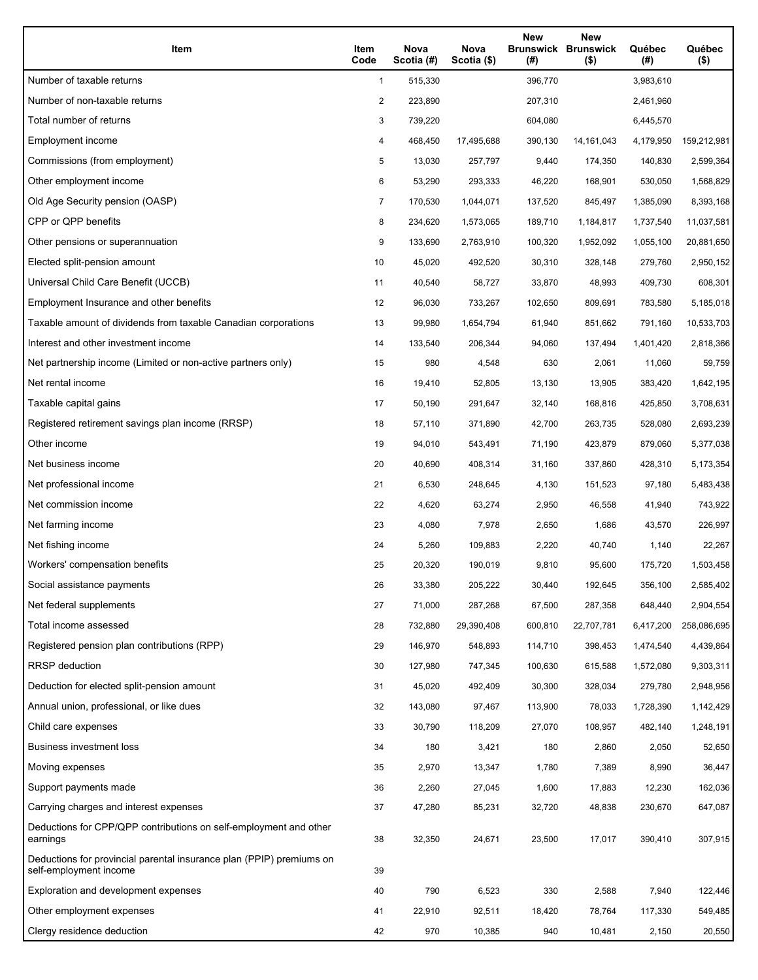| Item                                                                                           | Item<br>Code   | Nova<br>Scotia (#) | Nova<br>Scotia (\$) | <b>New</b><br>(# ) | New<br><b>Brunswick Brunswick</b><br>$($ \$) | Québec<br>(#) | Québec<br>$($ \$) |
|------------------------------------------------------------------------------------------------|----------------|--------------------|---------------------|--------------------|----------------------------------------------|---------------|-------------------|
| Number of taxable returns                                                                      | 1              | 515,330            |                     | 396,770            |                                              | 3,983,610     |                   |
| Number of non-taxable returns                                                                  | 2              | 223,890            |                     | 207,310            |                                              | 2,461,960     |                   |
| Total number of returns                                                                        | 3              | 739,220            |                     | 604,080            |                                              | 6,445,570     |                   |
| Employment income                                                                              | 4              | 468,450            | 17,495,688          | 390,130            | 14, 161, 043                                 | 4,179,950     | 159,212,981       |
| Commissions (from employment)                                                                  | 5              | 13,030             | 257,797             | 9,440              | 174,350                                      | 140,830       | 2,599,364         |
| Other employment income                                                                        | 6              | 53,290             | 293,333             | 46,220             | 168,901                                      | 530,050       | 1,568,829         |
| Old Age Security pension (OASP)                                                                | $\overline{7}$ | 170,530            | 1,044,071           | 137,520            | 845,497                                      | 1,385,090     | 8,393,168         |
| CPP or QPP benefits                                                                            | 8              | 234,620            | 1,573,065           | 189,710            | 1,184,817                                    | 1,737,540     | 11,037,581        |
| Other pensions or superannuation                                                               | 9              | 133,690            | 2,763,910           | 100,320            | 1,952,092                                    | 1,055,100     | 20,881,650        |
| Elected split-pension amount                                                                   | 10             | 45,020             | 492,520             | 30,310             | 328,148                                      | 279,760       | 2,950,152         |
| Universal Child Care Benefit (UCCB)                                                            | 11             | 40,540             | 58,727              | 33,870             | 48,993                                       | 409,730       | 608,301           |
| Employment Insurance and other benefits                                                        | 12             | 96,030             | 733,267             | 102,650            | 809,691                                      | 783,580       | 5,185,018         |
| Taxable amount of dividends from taxable Canadian corporations                                 | 13             | 99,980             | 1,654,794           | 61,940             | 851,662                                      | 791,160       | 10,533,703        |
| Interest and other investment income                                                           | 14             | 133,540            | 206,344             | 94,060             | 137,494                                      | 1,401,420     | 2,818,366         |
| Net partnership income (Limited or non-active partners only)                                   | 15             | 980                | 4,548               | 630                | 2,061                                        | 11,060        | 59,759            |
| Net rental income                                                                              | 16             | 19,410             | 52,805              | 13,130             | 13,905                                       | 383,420       | 1,642,195         |
| Taxable capital gains                                                                          | 17             | 50,190             | 291,647             | 32,140             | 168,816                                      | 425,850       | 3,708,631         |
| Registered retirement savings plan income (RRSP)                                               | 18             | 57,110             | 371,890             | 42,700             | 263,735                                      | 528,080       | 2,693,239         |
| Other income                                                                                   | 19             | 94,010             | 543,491             | 71,190             | 423,879                                      | 879,060       | 5,377,038         |
| Net business income                                                                            | 20             | 40,690             | 408,314             | 31,160             | 337,860                                      | 428,310       | 5,173,354         |
| Net professional income                                                                        | 21             | 6,530              | 248,645             | 4,130              | 151,523                                      | 97,180        | 5,483,438         |
| Net commission income                                                                          | 22             | 4,620              | 63,274              | 2,950              | 46,558                                       | 41,940        | 743,922           |
| Net farming income                                                                             | 23             | 4,080              | 7,978               | 2,650              | 1,686                                        | 43,570        | 226,997           |
| Net fishing income                                                                             | 24             | 5,260              | 109,883             | 2,220              | 40,740                                       | 1,140         | 22,267            |
| Workers' compensation benefits                                                                 | 25             | 20,320             | 190,019             | 9,810              | 95,600                                       | 175,720       | 1,503,458         |
| Social assistance payments                                                                     | 26             | 33,380             | 205,222             | 30,440             | 192,645                                      | 356,100       | 2,585,402         |
| Net federal supplements                                                                        | 27             | 71,000             | 287,268             | 67,500             | 287,358                                      | 648,440       | 2,904,554         |
| Total income assessed                                                                          | 28             | 732,880            | 29,390,408          | 600,810            | 22,707,781                                   | 6,417,200     | 258,086,695       |
| Registered pension plan contributions (RPP)                                                    | 29             | 146,970            | 548,893             | 114,710            | 398,453                                      | 1,474,540     | 4,439,864         |
| RRSP deduction                                                                                 | 30             | 127,980            | 747,345             | 100,630            | 615,588                                      | 1,572,080     | 9,303,311         |
| Deduction for elected split-pension amount                                                     | 31             | 45,020             | 492,409             | 30,300             | 328,034                                      | 279,780       | 2,948,956         |
| Annual union, professional, or like dues                                                       | 32             | 143,080            | 97,467              | 113,900            | 78,033                                       | 1,728,390     | 1,142,429         |
| Child care expenses                                                                            | 33             | 30,790             | 118,209             | 27,070             | 108,957                                      | 482,140       | 1,248,191         |
| <b>Business investment loss</b>                                                                | 34             | 180                | 3,421               | 180                | 2,860                                        | 2,050         | 52,650            |
| Moving expenses                                                                                | 35             | 2,970              | 13,347              | 1,780              | 7,389                                        | 8,990         | 36,447            |
| Support payments made                                                                          | 36             | 2,260              | 27,045              | 1,600              | 17,883                                       | 12,230        | 162,036           |
| Carrying charges and interest expenses                                                         | 37             | 47,280             | 85,231              | 32,720             | 48,838                                       | 230,670       | 647,087           |
| Deductions for CPP/QPP contributions on self-employment and other<br>earnings                  | 38             | 32,350             | 24,671              | 23,500             | 17,017                                       | 390,410       | 307,915           |
| Deductions for provincial parental insurance plan (PPIP) premiums on<br>self-employment income | 39             |                    |                     |                    |                                              |               |                   |
| Exploration and development expenses                                                           | 40             | 790                | 6,523               | 330                | 2,588                                        | 7,940         | 122,446           |
| Other employment expenses                                                                      | 41             | 22,910             | 92,511              | 18,420             | 78,764                                       | 117,330       | 549,485           |
| Clergy residence deduction                                                                     | 42             | 970                | 10,385              | 940                | 10,481                                       | 2,150         | 20,550            |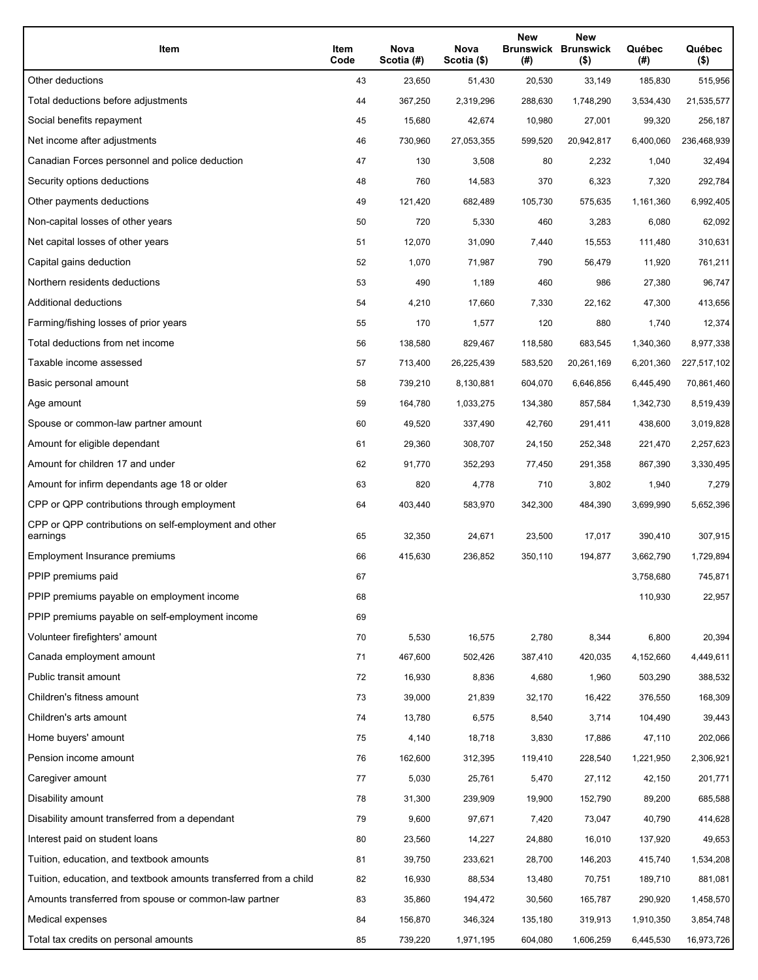| Item                                                              | Item<br>Code | Nova<br>Scotia (#) | Nova<br>Scotia (\$) | <b>New</b><br>(# ) | <b>New</b><br><b>Brunswick Brunswick</b><br>$($ \$) | Québec<br>(#) | Québec<br>$($ \$) |
|-------------------------------------------------------------------|--------------|--------------------|---------------------|--------------------|-----------------------------------------------------|---------------|-------------------|
| Other deductions                                                  | 43           | 23,650             | 51,430              | 20,530             | 33,149                                              | 185,830       | 515,956           |
| Total deductions before adjustments                               | 44           | 367,250            | 2,319,296           | 288,630            | 1,748,290                                           | 3,534,430     | 21,535,577        |
| Social benefits repayment                                         | 45           | 15,680             | 42,674              | 10,980             | 27,001                                              | 99,320        | 256,187           |
| Net income after adjustments                                      | 46           | 730,960            | 27,053,355          | 599,520            | 20,942,817                                          | 6,400,060     | 236,468,939       |
| Canadian Forces personnel and police deduction                    | 47           | 130                | 3,508               | 80                 | 2,232                                               | 1,040         | 32,494            |
| Security options deductions                                       | 48           | 760                | 14,583              | 370                | 6,323                                               | 7,320         | 292,784           |
| Other payments deductions                                         | 49           | 121,420            | 682,489             | 105,730            | 575,635                                             | 1,161,360     | 6,992,405         |
| Non-capital losses of other years                                 | 50           | 720                | 5,330               | 460                | 3,283                                               | 6,080         | 62,092            |
| Net capital losses of other years                                 | 51           | 12,070             | 31,090              | 7,440              | 15,553                                              | 111,480       | 310,631           |
| Capital gains deduction                                           | 52           | 1,070              | 71,987              | 790                | 56,479                                              | 11,920        | 761,211           |
| Northern residents deductions                                     | 53           | 490                | 1,189               | 460                | 986                                                 | 27,380        | 96,747            |
| Additional deductions                                             | 54           | 4,210              | 17,660              | 7,330              | 22,162                                              | 47,300        | 413,656           |
| Farming/fishing losses of prior years                             | 55           | 170                | 1,577               | 120                | 880                                                 | 1,740         | 12,374            |
| Total deductions from net income                                  | 56           | 138,580            | 829,467             | 118,580            | 683,545                                             | 1,340,360     | 8,977,338         |
| Taxable income assessed                                           | 57           | 713,400            | 26,225,439          | 583,520            | 20,261,169                                          | 6,201,360     | 227,517,102       |
| Basic personal amount                                             | 58           | 739,210            | 8,130,881           | 604,070            | 6,646,856                                           | 6,445,490     | 70,861,460        |
| Age amount                                                        | 59           | 164,780            | 1,033,275           | 134,380            | 857,584                                             | 1,342,730     | 8,519,439         |
| Spouse or common-law partner amount                               | 60           | 49,520             | 337,490             | 42,760             | 291,411                                             | 438,600       | 3,019,828         |
| Amount for eligible dependant                                     | 61           | 29,360             | 308,707             | 24,150             | 252,348                                             | 221,470       | 2,257,623         |
| Amount for children 17 and under                                  | 62           | 91,770             | 352,293             | 77,450             | 291,358                                             | 867,390       | 3,330,495         |
| Amount for infirm dependants age 18 or older                      | 63           | 820                | 4,778               | 710                | 3,802                                               | 1,940         | 7,279             |
| CPP or QPP contributions through employment                       | 64           | 403,440            | 583,970             | 342,300            | 484,390                                             | 3,699,990     | 5,652,396         |
| CPP or QPP contributions on self-employment and other<br>earnings | 65           | 32,350             | 24,671              | 23,500             | 17,017                                              | 390,410       | 307,915           |
| Employment Insurance premiums                                     | 66           | 415,630            | 236,852             | 350,110            | 194,877                                             | 3,662,790     | 1,729,894         |
| PPIP premiums paid                                                | 67           |                    |                     |                    |                                                     | 3,758,680     | 745,871           |
| PPIP premiums payable on employment income                        | 68           |                    |                     |                    |                                                     | 110,930       | 22,957            |
| PPIP premiums payable on self-employment income                   | 69           |                    |                     |                    |                                                     |               |                   |
| Volunteer firefighters' amount                                    | 70           | 5,530              | 16,575              | 2,780              | 8,344                                               | 6,800         | 20,394            |
| Canada employment amount                                          | 71           | 467,600            | 502,426             | 387,410            | 420,035                                             | 4,152,660     | 4,449,611         |
| Public transit amount                                             | 72           | 16,930             | 8,836               | 4,680              | 1,960                                               | 503,290       | 388,532           |
| Children's fitness amount                                         | 73           | 39,000             | 21,839              | 32,170             | 16,422                                              | 376,550       | 168,309           |
| Children's arts amount                                            | 74           | 13,780             | 6,575               | 8,540              | 3,714                                               | 104,490       | 39,443            |
| Home buyers' amount                                               | 75           | 4,140              | 18,718              | 3,830              | 17,886                                              | 47,110        | 202,066           |
| Pension income amount                                             | 76           | 162,600            | 312,395             | 119,410            | 228,540                                             | 1,221,950     | 2,306,921         |
| Caregiver amount                                                  | 77           | 5,030              | 25,761              | 5,470              | 27,112                                              | 42,150        | 201,771           |
| Disability amount                                                 | 78           | 31,300             | 239,909             | 19,900             | 152,790                                             | 89,200        | 685,588           |
| Disability amount transferred from a dependant                    | 79           | 9,600              | 97,671              | 7,420              | 73,047                                              | 40,790        | 414,628           |
| Interest paid on student loans                                    | 80           | 23,560             | 14,227              | 24,880             | 16,010                                              | 137,920       | 49,653            |
| Tuition, education, and textbook amounts                          | 81           | 39,750             | 233,621             | 28,700             | 146,203                                             | 415,740       | 1,534,208         |
| Tuition, education, and textbook amounts transferred from a child | 82           | 16,930             | 88,534              | 13,480             | 70,751                                              | 189,710       | 881,081           |
| Amounts transferred from spouse or common-law partner             | 83           | 35,860             | 194,472             | 30,560             | 165,787                                             | 290,920       | 1,458,570         |
| Medical expenses                                                  | 84           | 156,870            | 346,324             | 135,180            | 319,913                                             | 1,910,350     | 3,854,748         |
| Total tax credits on personal amounts                             | 85           | 739,220            | 1,971,195           | 604,080            | 1,606,259                                           | 6,445,530     | 16,973,726        |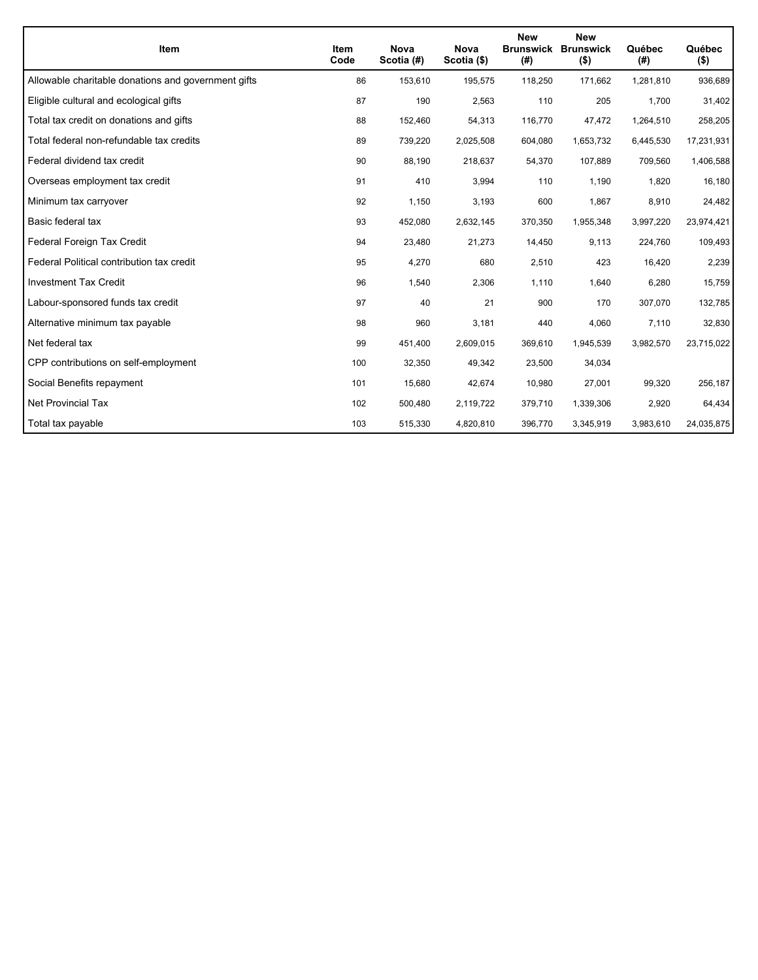| <b>Item</b>                                         | <b>Item</b><br>Code | <b>Nova</b><br>Scotia (#) | <b>Nova</b><br>Scotia (\$) | <b>New</b><br>(#) | <b>New</b><br><b>Brunswick Brunswick</b><br>$($ \$) | Québec<br>(# ) | Québec<br>$($ \$) |
|-----------------------------------------------------|---------------------|---------------------------|----------------------------|-------------------|-----------------------------------------------------|----------------|-------------------|
| Allowable charitable donations and government gifts | 86                  | 153,610                   | 195,575                    | 118,250           | 171,662                                             | 1,281,810      | 936,689           |
| Eligible cultural and ecological gifts              | 87                  | 190                       | 2,563                      | 110               | 205                                                 | 1,700          | 31,402            |
| Total tax credit on donations and gifts             | 88                  | 152,460                   | 54,313                     | 116,770           | 47,472                                              | 1,264,510      | 258,205           |
| Total federal non-refundable tax credits            | 89                  | 739,220                   | 2,025,508                  | 604,080           | 1,653,732                                           | 6,445,530      | 17,231,931        |
| Federal dividend tax credit                         | 90                  | 88,190                    | 218,637                    | 54,370            | 107,889                                             | 709,560        | 1,406,588         |
| Overseas employment tax credit                      | 91                  | 410                       | 3,994                      | 110               | 1,190                                               | 1,820          | 16,180            |
| Minimum tax carryover                               | 92                  | 1,150                     | 3,193                      | 600               | 1,867                                               | 8,910          | 24,482            |
| Basic federal tax                                   | 93                  | 452,080                   | 2,632,145                  | 370,350           | 1,955,348                                           | 3,997,220      | 23,974,421        |
| Federal Foreign Tax Credit                          | 94                  | 23,480                    | 21,273                     | 14,450            | 9,113                                               | 224,760        | 109,493           |
| Federal Political contribution tax credit           | 95                  | 4,270                     | 680                        | 2,510             | 423                                                 | 16,420         | 2,239             |
| <b>Investment Tax Credit</b>                        | 96                  | 1,540                     | 2,306                      | 1,110             | 1,640                                               | 6,280          | 15,759            |
| Labour-sponsored funds tax credit                   | 97                  | 40                        | 21                         | 900               | 170                                                 | 307,070        | 132,785           |
| Alternative minimum tax payable                     | 98                  | 960                       | 3,181                      | 440               | 4,060                                               | 7,110          | 32,830            |
| Net federal tax                                     | 99                  | 451,400                   | 2,609,015                  | 369,610           | 1,945,539                                           | 3,982,570      | 23,715,022        |
| CPP contributions on self-employment                | 100                 | 32,350                    | 49,342                     | 23,500            | 34,034                                              |                |                   |
| Social Benefits repayment                           | 101                 | 15,680                    | 42,674                     | 10,980            | 27,001                                              | 99,320         | 256,187           |
| <b>Net Provincial Tax</b>                           | 102                 | 500,480                   | 2,119,722                  | 379,710           | 1,339,306                                           | 2,920          | 64,434            |
| Total tax payable                                   | 103                 | 515,330                   | 4,820,810                  | 396,770           | 3,345,919                                           | 3,983,610      | 24,035,875        |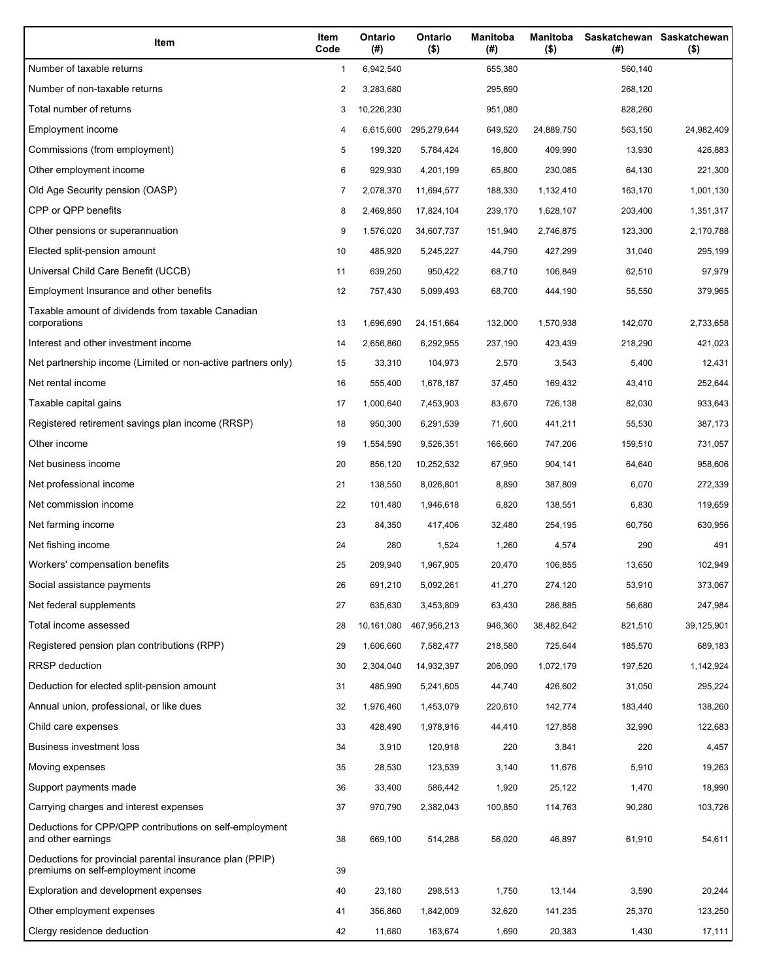| Item                                                                                           | Item<br>Code | Ontario<br>(#) | Ontario<br>$($ \$) | <b>Manitoba</b><br>(#) | <b>Manitoba</b><br>$($ \$) | Saskatchewan Saskatchewan<br>(# ) |            |
|------------------------------------------------------------------------------------------------|--------------|----------------|--------------------|------------------------|----------------------------|-----------------------------------|------------|
| Number of taxable returns                                                                      | 1            | 6,942,540      |                    | 655,380                |                            | 560,140                           |            |
| Number of non-taxable returns                                                                  | 2            | 3,283,680      |                    | 295,690                |                            | 268,120                           |            |
| Total number of returns                                                                        | 3            | 10,226,230     |                    | 951,080                |                            | 828,260                           |            |
| Employment income                                                                              | 4            | 6,615,600      | 295,279,644        | 649,520                | 24,889,750                 | 563,150                           | 24,982,409 |
| Commissions (from employment)                                                                  | 5            | 199,320        | 5,784,424          | 16,800                 | 409,990                    | 13,930                            | 426,883    |
| Other employment income                                                                        | 6            | 929,930        | 4,201,199          | 65,800                 | 230,085                    | 64,130                            | 221,300    |
| Old Age Security pension (OASP)                                                                | 7            | 2,078,370      | 11,694,577         | 188,330                | 1,132,410                  | 163,170                           | 1,001,130  |
| CPP or QPP benefits                                                                            | 8            | 2,469,850      | 17,824,104         | 239,170                | 1,628,107                  | 203,400                           | 1,351,317  |
| Other pensions or superannuation                                                               | 9            | 1,576,020      | 34,607,737         | 151,940                | 2,746,875                  | 123,300                           | 2,170,788  |
| Elected split-pension amount                                                                   | 10           | 485,920        | 5,245,227          | 44,790                 | 427,299                    | 31,040                            | 295,199    |
| Universal Child Care Benefit (UCCB)                                                            | 11           | 639,250        | 950,422            | 68,710                 | 106,849                    | 62,510                            | 97,979     |
| Employment Insurance and other benefits                                                        | 12           | 757,430        | 5,099,493          | 68,700                 | 444,190                    | 55,550                            | 379,965    |
| Taxable amount of dividends from taxable Canadian<br>corporations                              | 13           | 1,696,690      | 24,151,664         | 132,000                | 1,570,938                  | 142,070                           | 2,733,658  |
| Interest and other investment income                                                           | 14           | 2,656,860      | 6,292,955          | 237,190                | 423,439                    | 218,290                           | 421,023    |
| Net partnership income (Limited or non-active partners only)                                   | 15           | 33,310         | 104,973            | 2,570                  | 3,543                      | 5,400                             | 12,431     |
| Net rental income                                                                              | 16           | 555,400        | 1,678,187          | 37,450                 | 169,432                    | 43,410                            | 252,644    |
| Taxable capital gains                                                                          | 17           | 1,000,640      | 7,453,903          | 83,670                 | 726,138                    | 82,030                            | 933,643    |
| Registered retirement savings plan income (RRSP)                                               | 18           | 950,300        | 6,291,539          | 71,600                 | 441,211                    | 55,530                            | 387,173    |
| Other income                                                                                   | 19           | 1,554,590      | 9,526,351          | 166,660                | 747,206                    | 159,510                           | 731,057    |
| Net business income                                                                            | 20           | 856,120        | 10,252,532         | 67,950                 | 904,141                    | 64,640                            | 958,606    |
| Net professional income                                                                        | 21           | 138,550        | 8,026,801          | 8,890                  | 387,809                    | 6,070                             | 272,339    |
| Net commission income                                                                          | 22           | 101,480        | 1,946,618          | 6,820                  | 138,551                    | 6,830                             | 119,659    |
| Net farming income                                                                             | 23           | 84,350         | 417,406            | 32,480                 | 254,195                    | 60,750                            | 630,956    |
| Net fishing income                                                                             | 24           | 280            | 1,524              | 1,260                  | 4,574                      | 290                               | 491        |
| Workers' compensation benefits                                                                 | 25           | 209,940        | 1,967,905          | 20,470                 | 106,855                    | 13,650                            | 102,949    |
| Social assistance payments                                                                     | 26           | 691,210        | 5,092,261          | 41,270                 | 274,120                    | 53,910                            | 373,067    |
| Net federal supplements                                                                        | 27           | 635,630        | 3,453,809          | 63,430                 | 286,885                    | 56,680                            | 247,984    |
| Total income assessed                                                                          | 28           | 10,161,080     | 467,956,213        | 946,360                | 38,482,642                 | 821,510                           | 39,125,901 |
| Registered pension plan contributions (RPP)                                                    | 29           | 1,606,660      | 7,582,477          | 218,580                | 725,644                    | 185,570                           | 689,183    |
| RRSP deduction                                                                                 | 30           | 2,304,040      | 14,932,397         | 206,090                | 1,072,179                  | 197,520                           | 1,142,924  |
| Deduction for elected split-pension amount                                                     | 31           | 485,990        | 5,241,605          | 44,740                 | 426,602                    | 31,050                            | 295,224    |
| Annual union, professional, or like dues                                                       | 32           | 1,976,460      | 1,453,079          | 220,610                | 142,774                    | 183,440                           | 138,260    |
| Child care expenses                                                                            | 33           | 428,490        | 1,978,916          | 44,410                 | 127,858                    | 32,990                            | 122,683    |
| Business investment loss                                                                       | 34           | 3,910          | 120,918            | 220                    | 3,841                      | 220                               | 4,457      |
| Moving expenses                                                                                | 35           | 28,530         | 123,539            | 3,140                  | 11,676                     | 5,910                             | 19,263     |
| Support payments made                                                                          | 36           | 33,400         | 586,442            | 1,920                  | 25,122                     | 1,470                             | 18,990     |
| Carrying charges and interest expenses                                                         | 37           | 970,790        | 2,382,043          | 100,850                | 114,763                    | 90,280                            | 103,726    |
| Deductions for CPP/QPP contributions on self-employment<br>and other earnings                  | 38           | 669,100        | 514,288            | 56,020                 | 46,897                     | 61,910                            | 54,611     |
| Deductions for provincial parental insurance plan (PPIP)<br>premiums on self-employment income | 39           |                |                    |                        |                            |                                   |            |
| Exploration and development expenses                                                           | 40           | 23,180         | 298,513            | 1,750                  | 13,144                     | 3,590                             | 20,244     |
| Other employment expenses                                                                      | 41           | 356,860        | 1,842,009          | 32,620                 | 141,235                    | 25,370                            | 123,250    |
| Clergy residence deduction                                                                     | 42           | 11,680         | 163,674            | 1,690                  | 20,383                     | 1,430                             | 17,111     |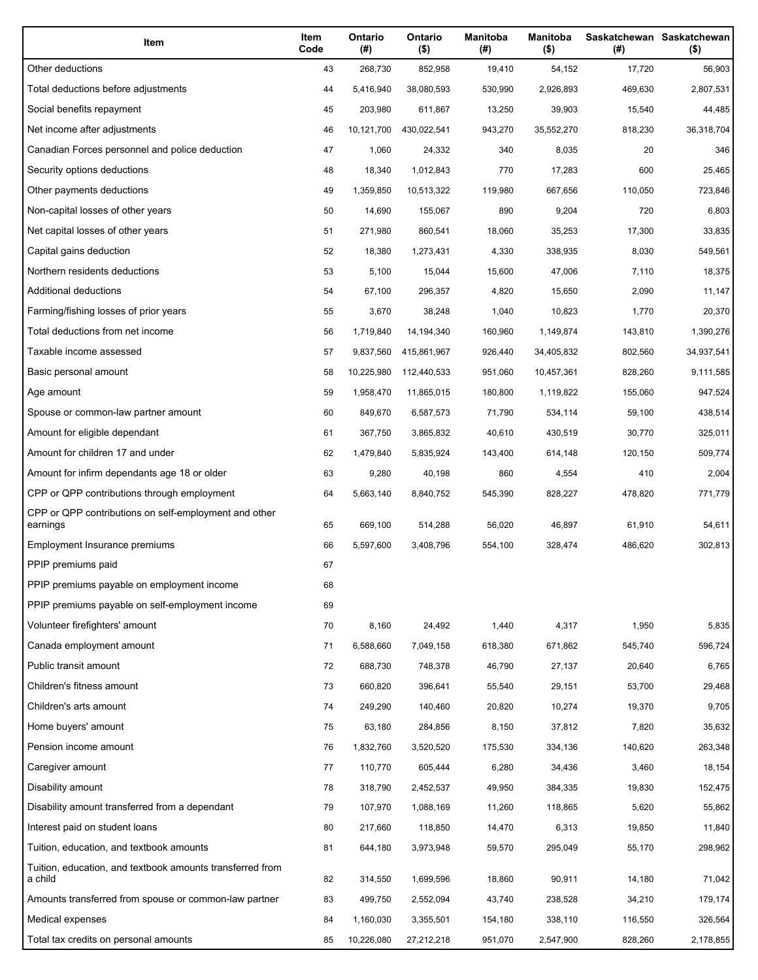| Item                                                                 | Item<br>Code | Ontario<br>(#) | Ontario<br>$($ \$) | <b>Manitoba</b><br>(#) | <b>Manitoba</b><br>$($ \$) | (#)     | Saskatchewan Saskatchewan<br>$($ \$) |
|----------------------------------------------------------------------|--------------|----------------|--------------------|------------------------|----------------------------|---------|--------------------------------------|
| Other deductions                                                     | 43           | 268,730        | 852,958            | 19,410                 | 54,152                     | 17,720  | 56,903                               |
| Total deductions before adjustments                                  | 44           | 5,416,940      | 38,080,593         | 530,990                | 2,926,893                  | 469,630 | 2,807,531                            |
| Social benefits repayment                                            | 45           | 203,980        | 611,867            | 13,250                 | 39,903                     | 15,540  | 44,485                               |
| Net income after adjustments                                         | 46           | 10,121,700     | 430,022,541        | 943,270                | 35,552,270                 | 818,230 | 36,318,704                           |
| Canadian Forces personnel and police deduction                       | 47           | 1,060          | 24,332             | 340                    | 8,035                      | 20      | 346                                  |
| Security options deductions                                          | 48           | 18,340         | 1,012,843          | 770                    | 17,283                     | 600     | 25,465                               |
| Other payments deductions                                            | 49           | 1,359,850      | 10,513,322         | 119,980                | 667,656                    | 110,050 | 723,846                              |
| Non-capital losses of other years                                    | 50           | 14,690         | 155,067            | 890                    | 9,204                      | 720     | 6,803                                |
| Net capital losses of other years                                    | 51           | 271,980        | 860,541            | 18,060                 | 35,253                     | 17,300  | 33,835                               |
| Capital gains deduction                                              | 52           | 18,380         | 1,273,431          | 4,330                  | 338,935                    | 8,030   | 549,561                              |
| Northern residents deductions                                        | 53           | 5,100          | 15,044             | 15,600                 | 47,006                     | 7,110   | 18,375                               |
| Additional deductions                                                | 54           | 67,100         | 296,357            | 4,820                  | 15,650                     | 2,090   | 11,147                               |
| Farming/fishing losses of prior years                                | 55           | 3,670          | 38,248             | 1,040                  | 10,823                     | 1,770   | 20,370                               |
| Total deductions from net income                                     | 56           | 1,719,840      | 14,194,340         | 160,960                | 1,149,874                  | 143,810 | 1,390,276                            |
| Taxable income assessed                                              | 57           | 9,837,560      | 415,861,967        | 926,440                | 34,405,832                 | 802,560 | 34,937,541                           |
| Basic personal amount                                                | 58           | 10,225,980     | 112,440,533        | 951,060                | 10,457,361                 | 828,260 | 9,111,585                            |
| Age amount                                                           | 59           | 1,958,470      | 11,865,015         | 180,800                | 1,119,822                  | 155,060 | 947,524                              |
| Spouse or common-law partner amount                                  | 60           | 849,670        | 6,587,573          | 71,790                 | 534,114                    | 59,100  | 438,514                              |
| Amount for eligible dependant                                        | 61           | 367,750        | 3,865,832          | 40,610                 | 430,519                    | 30,770  | 325,011                              |
| Amount for children 17 and under                                     | 62           | 1,479,840      | 5,835,924          | 143,400                | 614,148                    | 120,150 | 509,774                              |
| Amount for infirm dependants age 18 or older                         | 63           | 9,280          | 40,198             | 860                    | 4,554                      | 410     | 2,004                                |
| CPP or QPP contributions through employment                          | 64           | 5,663,140      | 8,840,752          | 545,390                | 828,227                    | 478,820 | 771,779                              |
| CPP or QPP contributions on self-employment and other<br>earnings    | 65           | 669,100        | 514,288            | 56,020                 | 46,897                     | 61,910  | 54,611                               |
| Employment Insurance premiums                                        | 66           | 5,597,600      | 3,408,796          | 554,100                | 328,474                    | 486,620 | 302,813                              |
| PPIP premiums paid                                                   | 67           |                |                    |                        |                            |         |                                      |
| PPIP premiums payable on employment income                           | 68           |                |                    |                        |                            |         |                                      |
| PPIP premiums payable on self-employment income                      | 69           |                |                    |                        |                            |         |                                      |
| Volunteer firefighters' amount                                       | 70           | 8,160          | 24,492             | 1,440                  | 4,317                      | 1,950   | 5,835                                |
| Canada employment amount                                             | 71           | 6,588,660      | 7,049,158          | 618,380                | 671,862                    | 545,740 | 596,724                              |
| Public transit amount                                                | 72           | 688,730        | 748,378            | 46,790                 | 27,137                     | 20,640  | 6,765                                |
| Children's fitness amount                                            | 73           | 660,820        | 396,641            | 55,540                 | 29,151                     | 53,700  | 29,468                               |
| Children's arts amount                                               | 74           | 249,290        | 140,460            | 20,820                 | 10,274                     | 19,370  | 9,705                                |
| Home buyers' amount                                                  | 75           | 63,180         | 284,856            | 8,150                  | 37,812                     | 7,820   | 35,632                               |
| Pension income amount                                                | 76           | 1,832,760      | 3,520,520          | 175,530                | 334,136                    | 140,620 | 263,348                              |
| Caregiver amount                                                     | 77           | 110,770        | 605,444            | 6,280                  | 34,436                     | 3,460   | 18,154                               |
| Disability amount                                                    | 78           | 318,790        | 2,452,537          | 49,950                 | 384,335                    | 19,830  | 152,475                              |
| Disability amount transferred from a dependant                       | 79           | 107,970        | 1,088,169          | 11,260                 | 118,865                    | 5,620   | 55,862                               |
| Interest paid on student loans                                       | 80           | 217,660        | 118,850            | 14,470                 | 6,313                      | 19,850  | 11,840                               |
| Tuition, education, and textbook amounts                             | 81           | 644,180        | 3,973,948          | 59,570                 | 295,049                    | 55,170  | 298,962                              |
| Tuition, education, and textbook amounts transferred from<br>a child | 82           | 314,550        | 1,699,596          | 18,860                 | 90,911                     | 14,180  | 71,042                               |
| Amounts transferred from spouse or common-law partner                | 83           | 499,750        | 2,552,094          | 43,740                 | 238,528                    | 34,210  | 179,174                              |
| Medical expenses                                                     | 84           | 1,160,030      | 3,355,501          | 154,180                | 338,110                    | 116,550 | 326,564                              |
| Total tax credits on personal amounts                                | 85           | 10,226,080     | 27,212,218         | 951,070                | 2,547,900                  | 828,260 | 2,178,855                            |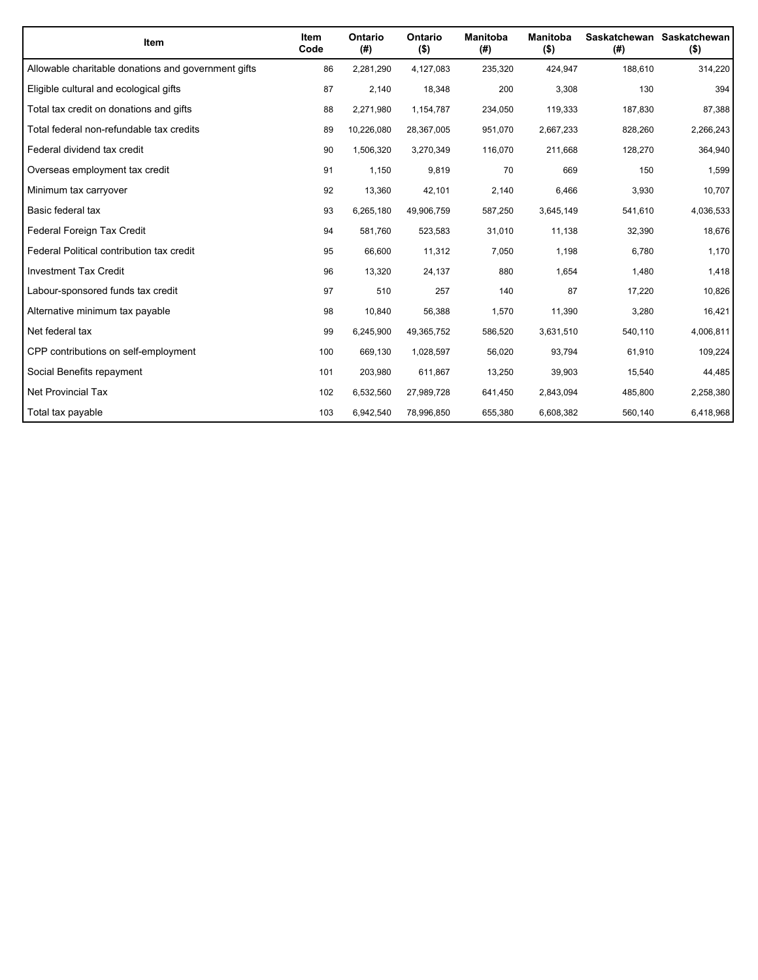| <b>Item</b>                                         | <b>Item</b><br>Code | Ontario<br>(#) | Ontario<br>$($ \$) | <b>Manitoba</b><br>(#) | <b>Manitoba</b><br>$($ \$) | (#)     | Saskatchewan Saskatchewan<br>$($ \$) |
|-----------------------------------------------------|---------------------|----------------|--------------------|------------------------|----------------------------|---------|--------------------------------------|
| Allowable charitable donations and government gifts | 86                  | 2,281,290      | 4,127,083          | 235,320                | 424,947                    | 188,610 | 314,220                              |
| Eligible cultural and ecological gifts              | 87                  | 2,140          | 18,348             | 200                    | 3,308                      | 130     | 394                                  |
| Total tax credit on donations and gifts             | 88                  | 2,271,980      | 1,154,787          | 234,050                | 119,333                    | 187,830 | 87,388                               |
| Total federal non-refundable tax credits            | 89                  | 10,226,080     | 28,367,005         | 951,070                | 2,667,233                  | 828,260 | 2,266,243                            |
| Federal dividend tax credit                         | 90                  | 1,506,320      | 3,270,349          | 116,070                | 211,668                    | 128,270 | 364,940                              |
| Overseas employment tax credit                      | 91                  | 1,150          | 9,819              | 70                     | 669                        | 150     | 1,599                                |
| Minimum tax carryover                               | 92                  | 13,360         | 42,101             | 2,140                  | 6,466                      | 3,930   | 10,707                               |
| Basic federal tax                                   | 93                  | 6,265,180      | 49,906,759         | 587,250                | 3,645,149                  | 541,610 | 4,036,533                            |
| Federal Foreign Tax Credit                          | 94                  | 581,760        | 523,583            | 31,010                 | 11,138                     | 32,390  | 18,676                               |
| Federal Political contribution tax credit           | 95                  | 66,600         | 11,312             | 7,050                  | 1,198                      | 6,780   | 1,170                                |
| <b>Investment Tax Credit</b>                        | 96                  | 13,320         | 24,137             | 880                    | 1,654                      | 1,480   | 1,418                                |
| Labour-sponsored funds tax credit                   | 97                  | 510            | 257                | 140                    | 87                         | 17,220  | 10,826                               |
| Alternative minimum tax payable                     | 98                  | 10,840         | 56,388             | 1,570                  | 11,390                     | 3,280   | 16,421                               |
| Net federal tax                                     | 99                  | 6,245,900      | 49,365,752         | 586,520                | 3,631,510                  | 540,110 | 4,006,811                            |
| CPP contributions on self-employment                | 100                 | 669,130        | 1,028,597          | 56,020                 | 93,794                     | 61,910  | 109,224                              |
| Social Benefits repayment                           | 101                 | 203,980        | 611,867            | 13,250                 | 39,903                     | 15,540  | 44,485                               |
| Net Provincial Tax                                  | 102                 | 6,532,560      | 27,989,728         | 641,450                | 2,843,094                  | 485,800 | 2,258,380                            |
| Total tax payable                                   | 103                 | 6,942,540      | 78,996,850         | 655,380                | 6,608,382                  | 560,140 | 6,418,968                            |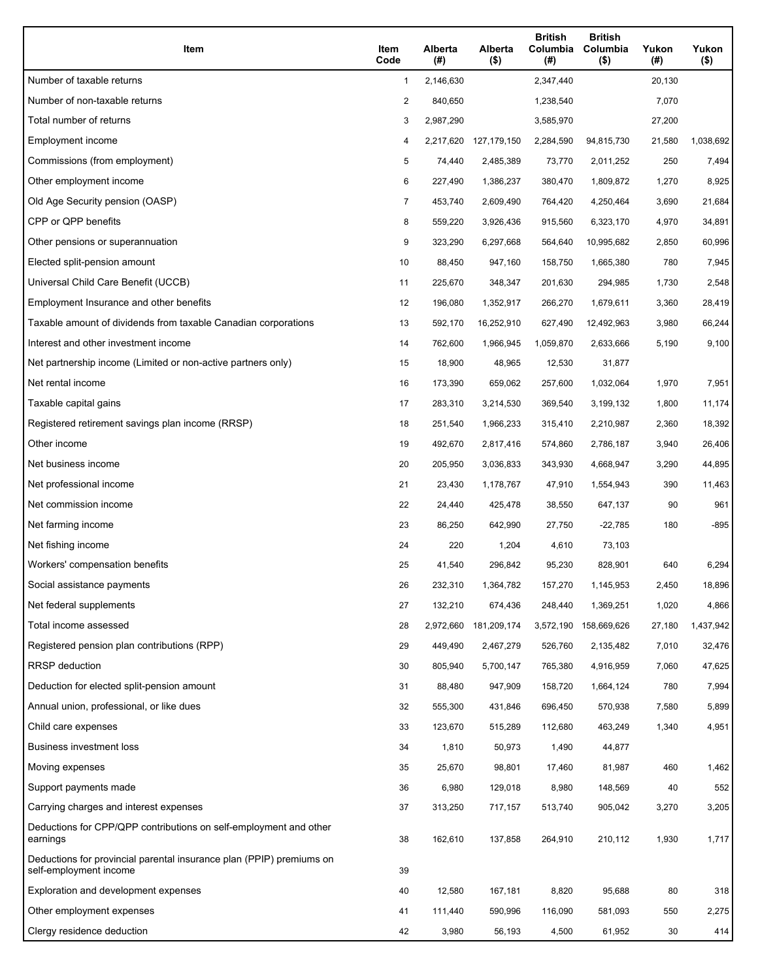| Item                                                                                           | Item<br>Code   | Alberta<br>(#) | Alberta<br>$($ \$) | <b>British</b><br>Columbia<br>(# ) | <b>British</b><br>Columbia<br>$($ \$) | Yukon<br>(#) | Yukon<br>$($ \$) |
|------------------------------------------------------------------------------------------------|----------------|----------------|--------------------|------------------------------------|---------------------------------------|--------------|------------------|
| Number of taxable returns                                                                      | 1              | 2,146,630      |                    | 2,347,440                          |                                       | 20,130       |                  |
| Number of non-taxable returns                                                                  | 2              | 840,650        |                    | 1,238,540                          |                                       | 7,070        |                  |
| Total number of returns                                                                        | 3              | 2,987,290      |                    | 3,585,970                          |                                       | 27,200       |                  |
| Employment income                                                                              | 4              | 2,217,620      | 127,179,150        | 2,284,590                          | 94,815,730                            | 21,580       | 1,038,692        |
| Commissions (from employment)                                                                  | 5              | 74,440         | 2,485,389          | 73,770                             | 2,011,252                             | 250          | 7,494            |
| Other employment income                                                                        | 6              | 227,490        | 1,386,237          | 380,470                            | 1,809,872                             | 1,270        | 8,925            |
| Old Age Security pension (OASP)                                                                | $\overline{7}$ | 453,740        | 2,609,490          | 764,420                            | 4,250,464                             | 3,690        | 21,684           |
| CPP or QPP benefits                                                                            | 8              | 559,220        | 3,926,436          | 915,560                            | 6,323,170                             | 4,970        | 34,891           |
| Other pensions or superannuation                                                               | 9              | 323,290        | 6,297,668          | 564,640                            | 10,995,682                            | 2,850        | 60,996           |
| Elected split-pension amount                                                                   | 10             | 88,450         | 947,160            | 158,750                            | 1,665,380                             | 780          | 7,945            |
| Universal Child Care Benefit (UCCB)                                                            | 11             | 225,670        | 348,347            | 201,630                            | 294,985                               | 1,730        | 2,548            |
| Employment Insurance and other benefits                                                        | 12             | 196,080        | 1,352,917          | 266,270                            | 1,679,611                             | 3,360        | 28,419           |
| Taxable amount of dividends from taxable Canadian corporations                                 | 13             | 592,170        | 16,252,910         | 627,490                            | 12,492,963                            | 3,980        | 66,244           |
| Interest and other investment income                                                           | 14             | 762,600        | 1,966,945          | 1,059,870                          | 2,633,666                             | 5,190        | 9,100            |
| Net partnership income (Limited or non-active partners only)                                   | 15             | 18,900         | 48,965             | 12,530                             | 31,877                                |              |                  |
| Net rental income                                                                              | 16             | 173,390        | 659,062            | 257,600                            | 1,032,064                             | 1,970        | 7,951            |
| Taxable capital gains                                                                          | 17             | 283,310        | 3,214,530          | 369,540                            | 3,199,132                             | 1,800        | 11,174           |
| Registered retirement savings plan income (RRSP)                                               | 18             | 251,540        | 1,966,233          | 315,410                            | 2,210,987                             | 2,360        | 18,392           |
| Other income                                                                                   | 19             | 492,670        | 2,817,416          | 574,860                            | 2,786,187                             | 3,940        | 26,406           |
| Net business income                                                                            | 20             | 205,950        | 3,036,833          | 343,930                            | 4,668,947                             | 3,290        | 44,895           |
| Net professional income                                                                        | 21             | 23,430         | 1,178,767          | 47,910                             | 1,554,943                             | 390          | 11,463           |
| Net commission income                                                                          | 22             | 24,440         | 425,478            | 38,550                             | 647,137                               | 90           | 961              |
| Net farming income                                                                             | 23             | 86,250         | 642,990            | 27,750                             | $-22,785$                             | 180          | -895             |
| Net fishing income                                                                             | 24             | 220            | 1,204              | 4,610                              | 73,103                                |              |                  |
| Workers' compensation benefits                                                                 | 25             | 41,540         | 296,842            | 95,230                             | 828,901                               | 640          | 6,294            |
| Social assistance payments                                                                     | 26             | 232,310        | 1,364,782          | 157,270                            | 1,145,953                             | 2,450        | 18,896           |
| Net federal supplements                                                                        | 27             | 132,210        | 674,436            | 248,440                            | 1,369,251                             | 1,020        | 4,866            |
| Total income assessed                                                                          | 28             | 2,972,660      | 181,209,174        | 3,572,190                          | 158,669,626                           | 27,180       | 1,437,942        |
| Registered pension plan contributions (RPP)                                                    | 29             | 449,490        | 2,467,279          | 526,760                            | 2,135,482                             | 7,010        | 32,476           |
| RRSP deduction                                                                                 | 30             | 805,940        | 5,700,147          | 765,380                            | 4,916,959                             | 7,060        | 47,625           |
| Deduction for elected split-pension amount                                                     | 31             | 88,480         | 947,909            | 158,720                            | 1,664,124                             | 780          | 7,994            |
| Annual union, professional, or like dues                                                       | 32             | 555,300        | 431,846            | 696,450                            | 570,938                               | 7,580        | 5,899            |
| Child care expenses                                                                            | 33             | 123,670        | 515,289            | 112,680                            | 463,249                               | 1,340        | 4,951            |
| <b>Business investment loss</b>                                                                | 34             | 1,810          | 50,973             | 1,490                              | 44,877                                |              |                  |
| Moving expenses                                                                                | 35             | 25,670         | 98,801             | 17,460                             | 81,987                                | 460          | 1,462            |
| Support payments made                                                                          | 36             | 6,980          | 129,018            | 8,980                              | 148,569                               | 40           | 552              |
| Carrying charges and interest expenses                                                         | 37             | 313,250        | 717,157            | 513,740                            | 905,042                               | 3,270        | 3,205            |
| Deductions for CPP/QPP contributions on self-employment and other<br>earnings                  | 38             | 162,610        | 137,858            | 264,910                            | 210,112                               | 1,930        | 1,717            |
| Deductions for provincial parental insurance plan (PPIP) premiums on<br>self-employment income | 39             |                |                    |                                    |                                       |              |                  |
| Exploration and development expenses                                                           | 40             | 12,580         | 167,181            | 8,820                              | 95,688                                | 80           | 318              |
| Other employment expenses                                                                      | 41             | 111,440        | 590,996            | 116,090                            | 581,093                               | 550          | 2,275            |
| Clergy residence deduction                                                                     | 42             | 3,980          | 56,193             | 4,500                              | 61,952                                | 30           | 414              |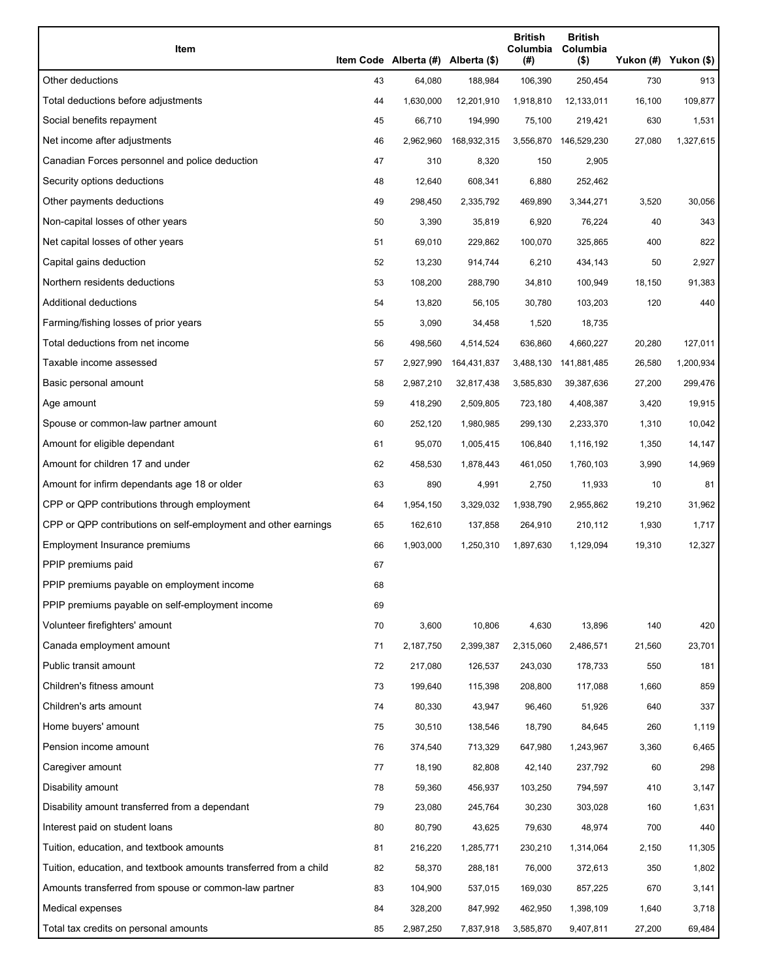| Item                                                              |    | Item Code Alberta (#) Alberta (\$) |             | <b>British</b><br>Columbia<br>(#) | <b>British</b><br>Columbia<br>$($ \$) | Yukon (#) Yukon (\$) |           |
|-------------------------------------------------------------------|----|------------------------------------|-------------|-----------------------------------|---------------------------------------|----------------------|-----------|
| Other deductions                                                  | 43 | 64,080                             | 188,984     | 106,390                           | 250,454                               | 730                  | 913       |
| Total deductions before adjustments                               | 44 | 1,630,000                          | 12,201,910  | 1,918,810                         | 12,133,011                            | 16,100               | 109,877   |
| Social benefits repayment                                         | 45 | 66,710                             | 194,990     | 75,100                            | 219,421                               | 630                  | 1,531     |
| Net income after adjustments                                      | 46 | 2,962,960                          | 168,932,315 |                                   | 3,556,870 146,529,230                 | 27,080               | 1,327,615 |
| Canadian Forces personnel and police deduction                    | 47 | 310                                | 8,320       | 150                               | 2,905                                 |                      |           |
| Security options deductions                                       | 48 | 12,640                             | 608,341     | 6,880                             | 252,462                               |                      |           |
| Other payments deductions                                         | 49 | 298,450                            | 2,335,792   | 469,890                           | 3,344,271                             | 3,520                | 30,056    |
| Non-capital losses of other years                                 | 50 | 3,390                              | 35,819      | 6,920                             | 76,224                                | 40                   | 343       |
| Net capital losses of other years                                 | 51 | 69,010                             | 229,862     | 100,070                           | 325,865                               | 400                  | 822       |
| Capital gains deduction                                           | 52 | 13,230                             | 914,744     | 6,210                             | 434,143                               | 50                   | 2,927     |
| Northern residents deductions                                     | 53 | 108,200                            | 288,790     | 34,810                            | 100,949                               | 18,150               | 91,383    |
| Additional deductions                                             | 54 | 13,820                             | 56,105      | 30,780                            | 103,203                               | 120                  | 440       |
| Farming/fishing losses of prior years                             | 55 | 3,090                              | 34,458      | 1,520                             | 18,735                                |                      |           |
| Total deductions from net income                                  | 56 | 498,560                            | 4,514,524   | 636,860                           | 4,660,227                             | 20,280               | 127,011   |
| Taxable income assessed                                           | 57 | 2,927,990                          | 164,431,837 | 3,488,130                         | 141,881,485                           | 26,580               | 1,200,934 |
| Basic personal amount                                             | 58 | 2,987,210                          | 32,817,438  | 3,585,830                         | 39,387,636                            | 27,200               | 299,476   |
| Age amount                                                        | 59 | 418,290                            | 2,509,805   | 723,180                           | 4,408,387                             | 3,420                | 19,915    |
| Spouse or common-law partner amount                               | 60 | 252,120                            | 1,980,985   | 299,130                           | 2,233,370                             | 1,310                | 10,042    |
| Amount for eligible dependant                                     | 61 | 95,070                             | 1,005,415   | 106,840                           | 1,116,192                             | 1,350                | 14,147    |
| Amount for children 17 and under                                  | 62 | 458,530                            | 1,878,443   | 461,050                           | 1,760,103                             | 3,990                | 14,969    |
| Amount for infirm dependants age 18 or older                      | 63 | 890                                | 4,991       | 2,750                             | 11,933                                | 10                   | 81        |
| CPP or QPP contributions through employment                       | 64 | 1,954,150                          | 3,329,032   | 1,938,790                         | 2,955,862                             | 19,210               | 31,962    |
| CPP or QPP contributions on self-employment and other earnings    | 65 | 162,610                            | 137,858     | 264,910                           | 210,112                               | 1,930                | 1,717     |
| Employment Insurance premiums                                     | 66 | 1,903,000                          | 1,250,310   | 1,897,630                         | 1,129,094                             | 19,310               | 12,327    |
| PPIP premiums paid                                                | 67 |                                    |             |                                   |                                       |                      |           |
| PPIP premiums payable on employment income                        | 68 |                                    |             |                                   |                                       |                      |           |
| PPIP premiums payable on self-employment income                   | 69 |                                    |             |                                   |                                       |                      |           |
| Volunteer firefighters' amount                                    | 70 | 3,600                              | 10,806      | 4,630                             | 13,896                                | 140                  | 420       |
| Canada employment amount                                          | 71 | 2,187,750                          | 2,399,387   | 2,315,060                         | 2,486,571                             | 21,560               | 23,701    |
| Public transit amount                                             | 72 | 217,080                            | 126,537     | 243,030                           | 178,733                               | 550                  | 181       |
| Children's fitness amount                                         | 73 | 199,640                            | 115,398     | 208,800                           | 117,088                               | 1,660                | 859       |
| Children's arts amount                                            | 74 | 80,330                             | 43,947      | 96,460                            | 51,926                                | 640                  | 337       |
| Home buyers' amount                                               | 75 | 30,510                             | 138,546     | 18,790                            | 84,645                                | 260                  | 1,119     |
| Pension income amount                                             | 76 | 374,540                            | 713,329     | 647,980                           | 1,243,967                             | 3,360                | 6,465     |
| Caregiver amount                                                  | 77 | 18,190                             | 82,808      | 42,140                            | 237,792                               | 60                   | 298       |
| Disability amount                                                 | 78 | 59,360                             | 456,937     | 103,250                           | 794,597                               | 410                  | 3,147     |
| Disability amount transferred from a dependant                    | 79 | 23,080                             | 245,764     | 30,230                            | 303,028                               | 160                  | 1,631     |
| Interest paid on student loans                                    | 80 | 80,790                             | 43,625      | 79,630                            | 48,974                                | 700                  | 440       |
| Tuition, education, and textbook amounts                          | 81 | 216,220                            | 1,285,771   | 230,210                           | 1,314,064                             | 2,150                | 11,305    |
| Tuition, education, and textbook amounts transferred from a child | 82 | 58,370                             | 288,181     | 76,000                            | 372,613                               | 350                  | 1,802     |
| Amounts transferred from spouse or common-law partner             | 83 | 104,900                            | 537,015     | 169,030                           | 857,225                               | 670                  | 3,141     |
| Medical expenses                                                  | 84 | 328,200                            | 847,992     | 462,950                           | 1,398,109                             | 1,640                | 3,718     |
| Total tax credits on personal amounts                             | 85 | 2,987,250                          | 7,837,918   | 3,585,870                         | 9,407,811                             | 27,200               | 69,484    |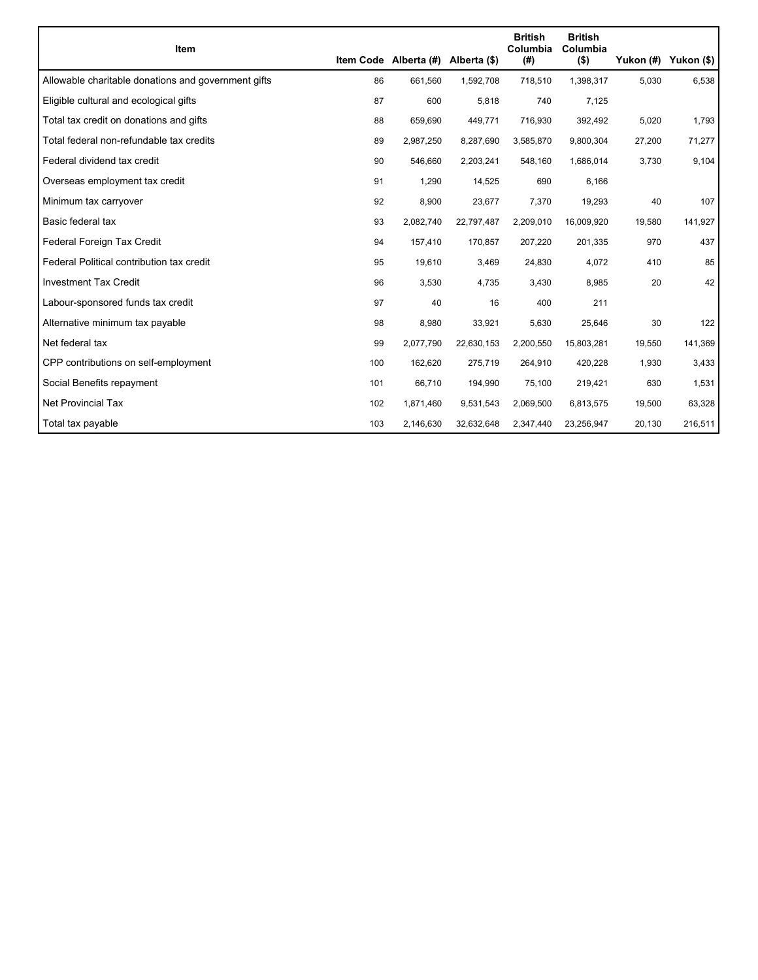|                                                     |     |                                    |            | <b>British</b>   | <b>British</b>      |        |                      |
|-----------------------------------------------------|-----|------------------------------------|------------|------------------|---------------------|--------|----------------------|
| <b>Item</b>                                         |     | Item Code Alberta (#) Alberta (\$) |            | Columbia<br>(# ) | Columbia<br>$($ \$) |        | Yukon (#) Yukon (\$) |
| Allowable charitable donations and government gifts | 86  | 661,560                            | 1,592,708  | 718,510          | 1,398,317           | 5,030  | 6,538                |
| Eligible cultural and ecological gifts              | 87  | 600                                | 5,818      | 740              | 7,125               |        |                      |
| Total tax credit on donations and gifts             | 88  | 659,690                            | 449,771    | 716,930          | 392,492             | 5,020  | 1,793                |
| Total federal non-refundable tax credits            | 89  | 2,987,250                          | 8,287,690  | 3,585,870        | 9,800,304           | 27,200 | 71,277               |
| Federal dividend tax credit                         | 90  | 546,660                            | 2,203,241  | 548,160          | 1,686,014           | 3,730  | 9,104                |
| Overseas employment tax credit                      | 91  | 1,290                              | 14,525     | 690              | 6,166               |        |                      |
| Minimum tax carryover                               | 92  | 8,900                              | 23,677     | 7,370            | 19,293              | 40     | 107                  |
| Basic federal tax                                   | 93  | 2,082,740                          | 22,797,487 | 2,209,010        | 16,009,920          | 19,580 | 141,927              |
| Federal Foreign Tax Credit                          | 94  | 157,410                            | 170,857    | 207,220          | 201,335             | 970    | 437                  |
| Federal Political contribution tax credit           | 95  | 19,610                             | 3,469      | 24,830           | 4,072               | 410    | 85                   |
| <b>Investment Tax Credit</b>                        | 96  | 3,530                              | 4,735      | 3,430            | 8,985               | 20     | 42                   |
| Labour-sponsored funds tax credit                   | 97  | 40                                 | 16         | 400              | 211                 |        |                      |
| Alternative minimum tax payable                     | 98  | 8,980                              | 33,921     | 5,630            | 25,646              | 30     | 122                  |
| Net federal tax                                     | 99  | 2,077,790                          | 22,630,153 | 2,200,550        | 15,803,281          | 19,550 | 141,369              |
| CPP contributions on self-employment                | 100 | 162,620                            | 275,719    | 264,910          | 420,228             | 1,930  | 3,433                |
| Social Benefits repayment                           | 101 | 66,710                             | 194,990    | 75,100           | 219,421             | 630    | 1,531                |
| <b>Net Provincial Tax</b>                           | 102 | 1,871,460                          | 9,531,543  | 2,069,500        | 6,813,575           | 19,500 | 63,328               |
| Total tax payable                                   | 103 | 2,146,630                          | 32,632,648 | 2,347,440        | 23,256,947          | 20,130 | 216,511              |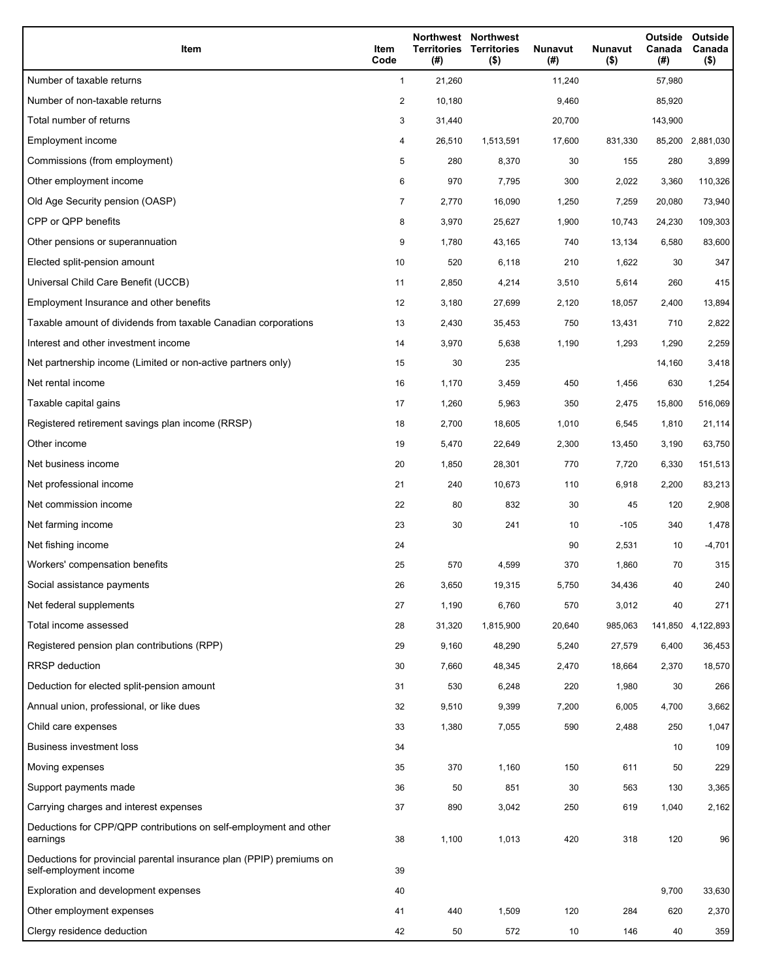| Item                                                                                           | Item<br>Code   | Territories<br>(#) | Northwest Northwest<br><b>Territories</b><br>$($ \$) | <b>Nunavut</b><br>(#) | <b>Nunavut</b><br>$($ \$) | Outside<br>Canada<br>(#) | Outside<br>Canada<br>$($ \$) |
|------------------------------------------------------------------------------------------------|----------------|--------------------|------------------------------------------------------|-----------------------|---------------------------|--------------------------|------------------------------|
| Number of taxable returns                                                                      | $\mathbf{1}$   | 21,260             |                                                      | 11,240                |                           | 57,980                   |                              |
| Number of non-taxable returns                                                                  | 2              | 10,180             |                                                      | 9,460                 |                           | 85,920                   |                              |
| Total number of returns                                                                        | 3              | 31,440             |                                                      | 20,700                |                           | 143,900                  |                              |
| Employment income                                                                              | 4              | 26,510             | 1,513,591                                            | 17,600                | 831,330                   |                          | 85,200 2,881,030             |
| Commissions (from employment)                                                                  | 5              | 280                | 8,370                                                | 30                    | 155                       | 280                      | 3,899                        |
| Other employment income                                                                        | 6              | 970                | 7,795                                                | 300                   | 2,022                     | 3,360                    | 110,326                      |
| Old Age Security pension (OASP)                                                                | $\overline{7}$ | 2,770              | 16,090                                               | 1,250                 | 7,259                     | 20,080                   | 73,940                       |
| CPP or QPP benefits                                                                            | 8              | 3,970              | 25,627                                               | 1,900                 | 10,743                    | 24,230                   | 109,303                      |
| Other pensions or superannuation                                                               | 9              | 1,780              | 43,165                                               | 740                   | 13,134                    | 6,580                    | 83,600                       |
| Elected split-pension amount                                                                   | 10             | 520                | 6,118                                                | 210                   | 1,622                     | 30                       | 347                          |
| Universal Child Care Benefit (UCCB)                                                            | 11             | 2,850              | 4,214                                                | 3,510                 | 5,614                     | 260                      | 415                          |
| Employment Insurance and other benefits                                                        | 12             | 3,180              | 27,699                                               | 2,120                 | 18,057                    | 2,400                    | 13,894                       |
| Taxable amount of dividends from taxable Canadian corporations                                 | 13             | 2,430              | 35,453                                               | 750                   | 13,431                    | 710                      | 2,822                        |
| Interest and other investment income                                                           | 14             | 3,970              | 5,638                                                | 1,190                 | 1,293                     | 1,290                    | 2,259                        |
| Net partnership income (Limited or non-active partners only)                                   | 15             | 30                 | 235                                                  |                       |                           | 14,160                   | 3,418                        |
| Net rental income                                                                              | 16             | 1,170              | 3,459                                                | 450                   | 1,456                     | 630                      | 1,254                        |
| Taxable capital gains                                                                          | 17             | 1,260              | 5,963                                                | 350                   | 2,475                     | 15,800                   | 516,069                      |
| Registered retirement savings plan income (RRSP)                                               | 18             | 2,700              | 18,605                                               | 1,010                 | 6,545                     | 1,810                    | 21,114                       |
| Other income                                                                                   | 19             | 5,470              | 22,649                                               | 2,300                 | 13,450                    | 3,190                    | 63,750                       |
| Net business income                                                                            | 20             | 1,850              | 28,301                                               | 770                   | 7,720                     | 6,330                    | 151,513                      |
| Net professional income                                                                        | 21             | 240                | 10,673                                               | 110                   | 6,918                     | 2,200                    | 83,213                       |
| Net commission income                                                                          | 22             | 80                 | 832                                                  | 30                    | 45                        | 120                      | 2,908                        |
| Net farming income                                                                             | 23             | 30                 | 241                                                  | 10                    | $-105$                    | 340                      | 1,478                        |
| Net fishing income                                                                             | 24             |                    |                                                      | 90                    | 2,531                     | 10                       | $-4,701$                     |
| Workers' compensation benefits                                                                 | 25             | 570                | 4,599                                                | 370                   | 1,860                     | 70                       | 315                          |
| Social assistance payments                                                                     | 26             | 3,650              | 19,315                                               | 5,750                 | 34,436                    | 40                       | 240                          |
| Net federal supplements                                                                        | 27             | 1,190              | 6,760                                                | 570                   | 3,012                     | 40                       | 271                          |
| Total income assessed                                                                          | 28             | 31,320             | 1,815,900                                            | 20,640                | 985,063                   | 141,850                  | 4,122,893                    |
| Registered pension plan contributions (RPP)                                                    | 29             | 9,160              | 48,290                                               | 5,240                 | 27,579                    | 6,400                    | 36,453                       |
| <b>RRSP</b> deduction                                                                          | 30             | 7,660              | 48,345                                               | 2,470                 | 18,664                    | 2,370                    | 18,570                       |
| Deduction for elected split-pension amount                                                     | 31             | 530                | 6,248                                                | 220                   | 1,980                     | 30                       | 266                          |
| Annual union, professional, or like dues                                                       | 32             | 9,510              | 9,399                                                | 7,200                 | 6,005                     | 4,700                    | 3,662                        |
| Child care expenses                                                                            | 33             | 1,380              | 7,055                                                | 590                   | 2,488                     | 250                      | 1,047                        |
| <b>Business investment loss</b>                                                                | 34             |                    |                                                      |                       |                           | 10                       | 109                          |
| Moving expenses                                                                                | 35             | 370                | 1,160                                                | 150                   | 611                       | 50                       | 229                          |
| Support payments made                                                                          | 36             | 50                 | 851                                                  | 30                    | 563                       | 130                      | 3,365                        |
| Carrying charges and interest expenses                                                         | 37             | 890                | 3,042                                                | 250                   | 619                       | 1,040                    | 2,162                        |
| Deductions for CPP/QPP contributions on self-employment and other<br>earnings                  | 38             | 1,100              | 1,013                                                | 420                   | 318                       | 120                      | 96                           |
| Deductions for provincial parental insurance plan (PPIP) premiums on<br>self-employment income | 39             |                    |                                                      |                       |                           |                          |                              |
| Exploration and development expenses                                                           | 40             |                    |                                                      |                       |                           | 9,700                    | 33,630                       |
| Other employment expenses                                                                      | 41             | 440                | 1,509                                                | 120                   | 284                       | 620                      | 2,370                        |
| Clergy residence deduction                                                                     | 42             | 50                 | 572                                                  | 10                    | 146                       | 40                       | 359                          |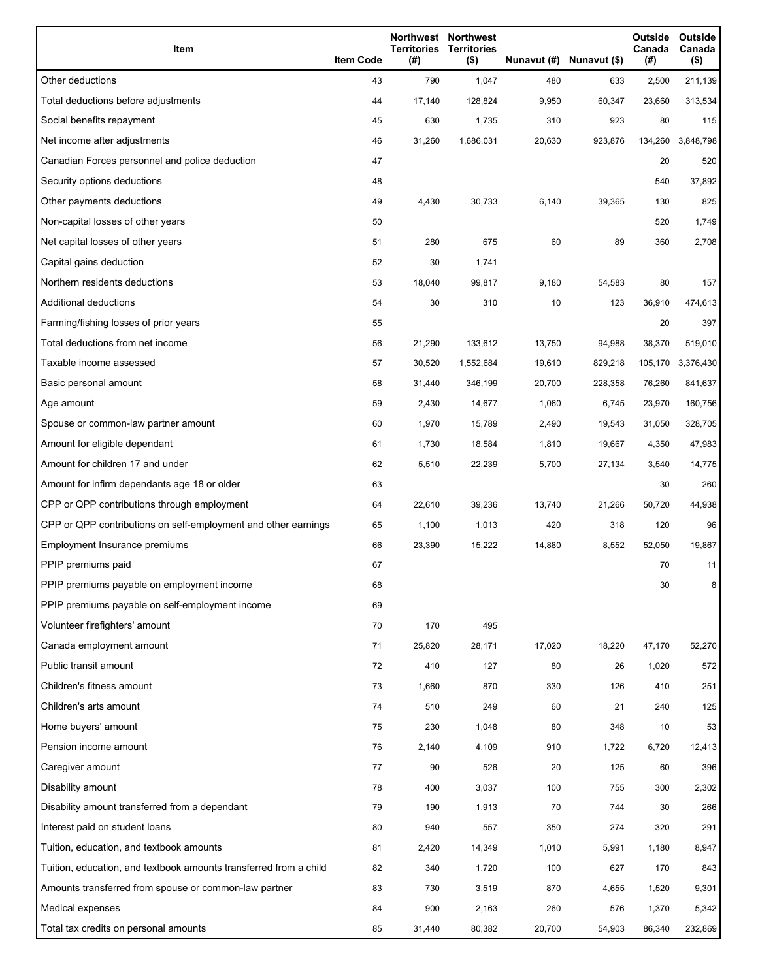| Item                                                              | <b>Item Code</b> | <b>Territories</b><br>(#) | Northwest Northwest<br><b>Territories</b><br>$($ \$) |        | Nunavut (#) Nunavut (\$) | Outside<br>Canada<br>(#) | Outside<br>Canada<br>$($ \$) |
|-------------------------------------------------------------------|------------------|---------------------------|------------------------------------------------------|--------|--------------------------|--------------------------|------------------------------|
| Other deductions                                                  | 43               | 790                       | 1,047                                                | 480    | 633                      | 2,500                    | 211,139                      |
| Total deductions before adjustments                               | 44               | 17,140                    | 128,824                                              | 9,950  | 60,347                   | 23,660                   | 313,534                      |
| Social benefits repayment                                         | 45               | 630                       | 1,735                                                | 310    | 923                      | 80                       | 115                          |
| Net income after adjustments                                      | 46               | 31,260                    | 1,686,031                                            | 20,630 | 923,876                  | 134,260                  | 3,848,798                    |
| Canadian Forces personnel and police deduction                    | 47               |                           |                                                      |        |                          | 20                       | 520                          |
| Security options deductions                                       | 48               |                           |                                                      |        |                          | 540                      | 37,892                       |
| Other payments deductions                                         | 49               | 4,430                     | 30,733                                               | 6,140  | 39,365                   | 130                      | 825                          |
| Non-capital losses of other years                                 | 50               |                           |                                                      |        |                          | 520                      | 1,749                        |
| Net capital losses of other years                                 | 51               | 280                       | 675                                                  | 60     | 89                       | 360                      | 2,708                        |
| Capital gains deduction                                           | 52               | 30                        | 1,741                                                |        |                          |                          |                              |
| Northern residents deductions                                     | 53               | 18,040                    | 99,817                                               | 9,180  | 54,583                   | 80                       | 157                          |
| <b>Additional deductions</b>                                      | 54               | 30                        | 310                                                  | 10     | 123                      | 36,910                   | 474,613                      |
| Farming/fishing losses of prior years                             | 55               |                           |                                                      |        |                          | 20                       | 397                          |
| Total deductions from net income                                  | 56               | 21,290                    | 133,612                                              | 13,750 | 94,988                   | 38,370                   | 519,010                      |
| Taxable income assessed                                           | 57               | 30,520                    | 1,552,684                                            | 19,610 | 829,218                  | 105,170                  | 3,376,430                    |
| Basic personal amount                                             | 58               | 31,440                    | 346,199                                              | 20,700 | 228,358                  | 76,260                   | 841,637                      |
| Age amount                                                        | 59               | 2,430                     | 14,677                                               | 1,060  | 6,745                    | 23,970                   | 160,756                      |
| Spouse or common-law partner amount                               | 60               | 1,970                     | 15,789                                               | 2,490  | 19,543                   | 31,050                   | 328,705                      |
| Amount for eligible dependant                                     | 61               | 1,730                     | 18,584                                               | 1,810  | 19,667                   | 4,350                    | 47,983                       |
| Amount for children 17 and under                                  | 62               | 5,510                     | 22,239                                               | 5,700  | 27,134                   | 3,540                    | 14,775                       |
| Amount for infirm dependants age 18 or older                      | 63               |                           |                                                      |        |                          | 30                       | 260                          |
| CPP or QPP contributions through employment                       | 64               | 22,610                    | 39,236                                               | 13,740 | 21,266                   | 50,720                   | 44,938                       |
| CPP or QPP contributions on self-employment and other earnings    | 65               | 1,100                     | 1,013                                                | 420    | 318                      | 120                      | 96                           |
| Employment Insurance premiums                                     | 66               | 23,390                    | 15,222                                               | 14,880 | 8,552                    | 52,050                   | 19,867                       |
| PPIP premiums paid                                                | 67               |                           |                                                      |        |                          | 70                       | 11                           |
| PPIP premiums payable on employment income                        | 68               |                           |                                                      |        |                          | 30                       | 8                            |
| PPIP premiums payable on self-employment income                   | 69               |                           |                                                      |        |                          |                          |                              |
| Volunteer firefighters' amount                                    | 70               | 170                       | 495                                                  |        |                          |                          |                              |
| Canada employment amount                                          | 71               | 25,820                    | 28,171                                               | 17,020 | 18,220                   | 47,170                   | 52,270                       |
| Public transit amount                                             | 72               | 410                       | 127                                                  | 80     | 26                       | 1,020                    | 572                          |
| Children's fitness amount                                         | 73               | 1,660                     | 870                                                  | 330    | 126                      | 410                      | 251                          |
| Children's arts amount                                            | 74               | 510                       | 249                                                  | 60     | 21                       | 240                      | 125                          |
| Home buyers' amount                                               | 75               | 230                       | 1,048                                                | 80     | 348                      | 10                       | 53                           |
| Pension income amount                                             | 76               | 2,140                     | 4,109                                                | 910    | 1,722                    | 6,720                    | 12,413                       |
| Caregiver amount                                                  | 77               | 90                        | 526                                                  | 20     | 125                      | 60                       | 396                          |
| Disability amount                                                 | 78               | 400                       | 3,037                                                | 100    | 755                      | 300                      | 2,302                        |
| Disability amount transferred from a dependant                    | 79               | 190                       | 1,913                                                | 70     | 744                      | 30                       | 266                          |
| Interest paid on student loans                                    | 80               | 940                       | 557                                                  | 350    | 274                      | 320                      | 291                          |
| Tuition, education, and textbook amounts                          | 81               | 2,420                     | 14,349                                               | 1,010  | 5,991                    | 1,180                    | 8,947                        |
| Tuition, education, and textbook amounts transferred from a child | 82               | 340                       | 1,720                                                | 100    | 627                      | 170                      | 843                          |
| Amounts transferred from spouse or common-law partner             | 83               | 730                       | 3,519                                                | 870    | 4,655                    | 1,520                    | 9,301                        |
| Medical expenses                                                  | 84               | 900                       | 2,163                                                | 260    | 576                      | 1,370                    | 5,342                        |
| Total tax credits on personal amounts                             | 85               | 31,440                    | 80,382                                               | 20,700 | 54,903                   | 86,340                   | 232,869                      |